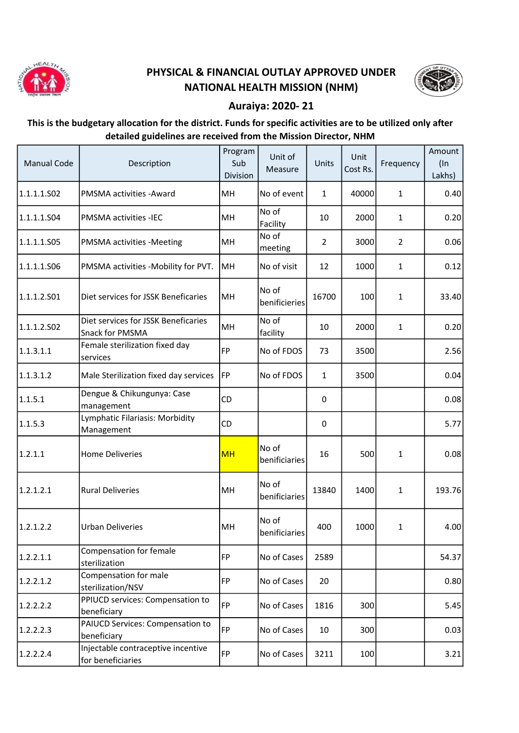

## PHYSICAL & FINANCIAL OUTLAY APPROVED UNDER NATIONAL HEALTH MISSION (NHM)



## Auraiya: 2020- 21

## This is the budgetary allocation for the district. Funds for specific activities are to be utilized only after detailed guidelines are received from the Mission Director, NHM

| <b>Manual Code</b> | Description                                             | Program<br>Sub<br>Division | Unit of<br>Measure     | Units          | Unit<br>Cost Rs. | Frequency      | Amount<br>$($ In<br>Lakhs) |
|--------------------|---------------------------------------------------------|----------------------------|------------------------|----------------|------------------|----------------|----------------------------|
| 1.1.1.1.S02        | PMSMA activities - Award                                | MH                         | No of event            | 1              | 40000            | 1              | 0.40                       |
| 1.1.1.1.504        | <b>PMSMA activities -IEC</b>                            | MH                         | No of<br>Facility      | 10             | 2000             | 1              | 0.20                       |
| 1.1.1.1.505        | PMSMA activities -Meeting                               | MH                         | No of<br>meeting       | $\overline{2}$ | 3000             | $\overline{2}$ | 0.06                       |
| 1.1.1.1.S06        | PMSMA activities -Mobility for PVT.                     | MH                         | No of visit            | 12             | 1000             | 1              | 0.12                       |
| 1.1.1.2.501        | Diet services for JSSK Beneficaries                     | MH                         | No of<br>benificieries | 16700          | 100              | $\mathbf{1}$   | 33.40                      |
| 1.1.1.2.502        | Diet services for JSSK Beneficaries<br>Snack for PMSMA  | MH                         | No of<br>facility      | 10             | 2000             | $\mathbf{1}$   | 0.20                       |
| 1.1.3.1.1          | Female sterilization fixed day<br>services              | FP                         | No of FDOS             | 73             | 3500             |                | 2.56                       |
| 1.1.3.1.2          | Male Sterilization fixed day services                   | FP                         | No of FDOS             | 1              | 3500             |                | 0.04                       |
| 1.1.5.1            | Dengue & Chikungunya: Case<br>management                | CD                         |                        | 0              |                  |                | 0.08                       |
| 1.1.5.3            | Lymphatic Filariasis: Morbidity<br>Management           | CD                         |                        | 0              |                  |                | 5.77                       |
| 1.2.1.1            | <b>Home Deliveries</b>                                  | <b>MH</b>                  | No of<br>benificiaries | 16             | 500              | 1              | 0.08                       |
| 1.2.1.2.1          | <b>Rural Deliveries</b>                                 | MH                         | No of<br>benificiaries | 13840          | 1400             | 1              | 193.76                     |
| 1.2.1.2.2          | <b>Urban Deliveries</b>                                 | MH                         | No of<br>benificiaries | 400            | 1000             | 1              | 4.00                       |
| 1.2.2.1.1          | Compensation for female<br>sterilization                | FP                         | No of Cases            | 2589           |                  |                | 54.37                      |
| 1.2.2.1.2          | Compensation for male<br>sterilization/NSV              | FP                         | No of Cases            | 20             |                  |                | 0.80                       |
| 1.2.2.2.2          | PPIUCD services: Compensation to<br>beneficiary         | FP                         | No of Cases            | 1816           | 300              |                | 5.45                       |
| 1.2.2.2.3          | PAIUCD Services: Compensation to<br>beneficiary         | FP                         | No of Cases            | 10             | 300              |                | 0.03                       |
| 1.2.2.2.4          | Injectable contraceptive incentive<br>for beneficiaries | FP                         | No of Cases            | 3211           | 100              |                | 3.21                       |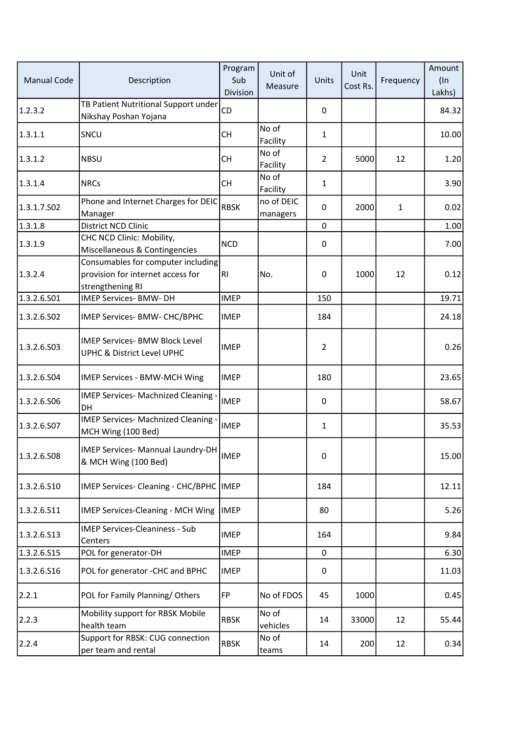| <b>Manual Code</b> | Description                                                                                 | Program<br>Sub<br>Division | Unit of<br>Measure     | Units          | Unit<br>Cost Rs. | Frequency | Amount<br>$($ In<br>Lakhs) |
|--------------------|---------------------------------------------------------------------------------------------|----------------------------|------------------------|----------------|------------------|-----------|----------------------------|
| 1.2.3.2            | TB Patient Nutritional Support under<br>Nikshay Poshan Yojana                               | <b>CD</b>                  |                        | 0              |                  |           | 84.32                      |
| 1.3.1.1            | SNCU                                                                                        | <b>CH</b>                  | No of<br>Facility      | $\mathbf{1}$   |                  |           | 10.00                      |
| 1.3.1.2            | <b>NBSU</b>                                                                                 | <b>CH</b>                  | No of<br>Facility      | $\overline{2}$ | 5000             | 12        | 1.20                       |
| 1.3.1.4            | <b>NRCs</b>                                                                                 | <b>CH</b>                  | No of<br>Facility      | 1              |                  |           | 3.90                       |
| 1.3.1.7.502        | Phone and Internet Charges for DEIC<br>Manager                                              | <b>RBSK</b>                | no of DEIC<br>managers | 0              | 2000             | 1         | 0.02                       |
| 1.3.1.8            | District NCD Clinic                                                                         |                            |                        | $\mathbf 0$    |                  |           | 1.00                       |
| 1.3.1.9            | CHC NCD Clinic: Mobility,<br>Miscellaneous & Contingencies                                  | <b>NCD</b>                 |                        | 0              |                  |           | 7.00                       |
| 1.3.2.4            | Consumables for computer including<br>provision for internet access for<br>strengthening RI | RI                         | No.                    | $\mathbf 0$    | 1000             | 12        | 0.12                       |
| 1.3.2.6.501        | IMEP Services- BMW- DH                                                                      | <b>IMEP</b>                |                        | 150            |                  |           | 19.71                      |
| 1.3.2.6.502        | IMEP Services- BMW- CHC/BPHC                                                                | <b>IMEP</b>                |                        | 184            |                  |           | 24.18                      |
| 1.3.2.6.503        | <b>IMEP Services- BMW Block Level</b><br>UPHC & District Level UPHC                         | <b>IMEP</b>                |                        | $\overline{2}$ |                  |           | 0.26                       |
| 1.3.2.6.504        | IMEP Services - BMW-MCH Wing                                                                | <b>IMEP</b>                |                        | 180            |                  |           | 23.65                      |
| 1.3.2.6.506        | IMEP Services- Machnized Cleaning -<br>DH                                                   | <b>IMEP</b>                |                        | $\pmb{0}$      |                  |           | 58.67                      |
| 1.3.2.6.S07        | IMEP Services- Machnized Cleaning -<br>MCH Wing (100 Bed)                                   | <b>IMEP</b>                |                        | $\mathbf{1}$   |                  |           | 35.53                      |
| 1.3.2.6.508        | IMEP Services- Mannual Laundry-DH<br>& MCH Wing (100 Bed)                                   | <b>IMEP</b>                |                        | 0              |                  |           | 15.00                      |
| 1.3.2.6.510        | IMEP Services- Cleaning - CHC/BPHC  IMEP                                                    |                            |                        | 184            |                  |           | 12.11                      |
| 1.3.2.6.511        | IMEP Services-Cleaning - MCH Wing                                                           | <b>IMEP</b>                |                        | 80             |                  |           | 5.26                       |
| 1.3.2.6.513        | <b>IMEP Services-Cleaniness - Sub</b><br>Centers                                            | <b>IMEP</b>                |                        | 164            |                  |           | 9.84                       |
| 1.3.2.6.515        | POL for generator-DH                                                                        | <b>IMEP</b>                |                        | 0              |                  |           | 6.30                       |
| 1.3.2.6.516        | POL for generator -CHC and BPHC                                                             | <b>IMEP</b>                |                        | $\pmb{0}$      |                  |           | 11.03                      |
| 2.2.1              | POL for Family Planning/Others                                                              | <b>FP</b>                  | No of FDOS             | 45             | 1000             |           | 0.45                       |
| 2.2.3              | Mobility support for RBSK Mobile<br>health team                                             | <b>RBSK</b>                | No of<br>vehicles      | 14             | 33000            | 12        | 55.44                      |
| 2.2.4              | Support for RBSK: CUG connection<br>per team and rental                                     | <b>RBSK</b>                | No of<br>teams         | 14             | 200              | 12        | 0.34                       |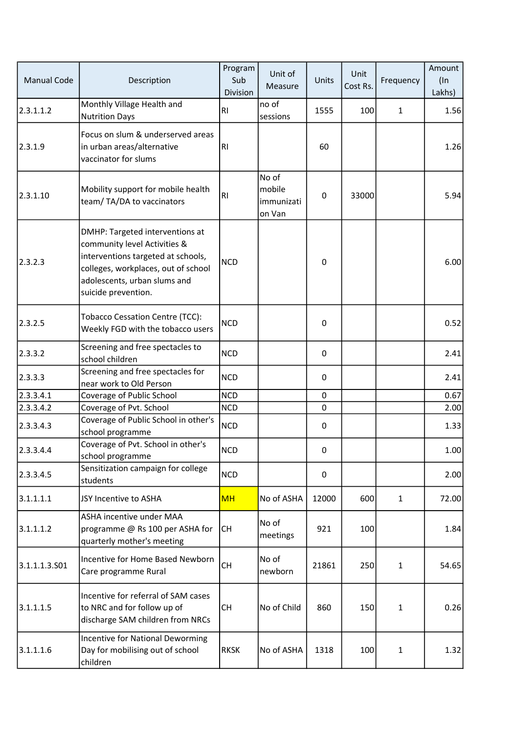| <b>Manual Code</b> | Description                                                                                                                                                                                         | Program<br>Sub<br>Division | Unit of<br>Measure                      | Units       | Unit<br>Cost Rs. | Frequency    | Amount<br>$($ In<br>Lakhs) |
|--------------------|-----------------------------------------------------------------------------------------------------------------------------------------------------------------------------------------------------|----------------------------|-----------------------------------------|-------------|------------------|--------------|----------------------------|
| 2.3.1.1.2          | Monthly Village Health and<br><b>Nutrition Days</b>                                                                                                                                                 | RI                         | no of<br>sessions                       | 1555        | 100              | $\mathbf{1}$ | 1.56                       |
| 2.3.1.9            | Focus on slum & underserved areas<br>in urban areas/alternative<br>vaccinator for slums                                                                                                             | RI                         |                                         | 60          |                  |              | 1.26                       |
| 2.3.1.10           | Mobility support for mobile health<br>team/TA/DA to vaccinators                                                                                                                                     | RI                         | No of<br>mobile<br>immunizati<br>on Van | $\pmb{0}$   | 33000            |              | 5.94                       |
| 2.3.2.3            | DMHP: Targeted interventions at<br>community level Activities &<br>interventions targeted at schools,<br>colleges, workplaces, out of school<br>adolescents, urban slums and<br>suicide prevention. | <b>NCD</b>                 |                                         | 0           |                  |              | 6.00                       |
| 2.3.2.5            | Tobacco Cessation Centre (TCC):<br>Weekly FGD with the tobacco users                                                                                                                                | <b>NCD</b>                 |                                         | 0           |                  |              | 0.52                       |
| 2.3.3.2            | Screening and free spectacles to<br>school children                                                                                                                                                 | <b>NCD</b>                 |                                         | 0           |                  |              | 2.41                       |
| 2.3.3.3            | Screening and free spectacles for<br>near work to Old Person                                                                                                                                        | <b>NCD</b>                 |                                         | 0           |                  |              | 2.41                       |
| 2.3.3.4.1          | Coverage of Public School                                                                                                                                                                           | <b>NCD</b>                 |                                         | $\mathbf 0$ |                  |              | 0.67                       |
| 2.3.3.4.2          | Coverage of Pvt. School                                                                                                                                                                             | <b>NCD</b>                 |                                         | 0           |                  |              | 2.00                       |
| 2.3.3.4.3          | Coverage of Public School in other's<br>school programme                                                                                                                                            | <b>NCD</b>                 |                                         | 0           |                  |              | 1.33                       |
| 2.3.3.4.4          | Coverage of Pvt. School in other's<br>school programme                                                                                                                                              | <b>NCD</b>                 |                                         | 0           |                  |              | 1.00 <sub>l</sub>          |
| 2.3.3.4.5          | Sensitization campaign for college<br>students                                                                                                                                                      | <b>NCD</b>                 |                                         | $\pmb{0}$   |                  |              | 2.00                       |
| 3.1.1.1.1          | JSY Incentive to ASHA                                                                                                                                                                               | <b>MH</b>                  | No of ASHA                              | 12000       | 600              | 1            | 72.00                      |
| 3.1.1.1.2          | ASHA incentive under MAA<br>programme @ Rs 100 per ASHA for<br>quarterly mother's meeting                                                                                                           | <b>CH</b>                  | No of<br>meetings                       | 921         | 100              |              | 1.84                       |
| 3.1.1.1.3.501      | Incentive for Home Based Newborn<br>Care programme Rural                                                                                                                                            | <b>CH</b>                  | No of<br>newborn                        | 21861       | 250              | 1            | 54.65                      |
| 3.1.1.1.5          | Incentive for referral of SAM cases<br>to NRC and for follow up of<br>discharge SAM children from NRCs                                                                                              | <b>CH</b>                  | No of Child                             | 860         | 150              | 1            | 0.26                       |
| 3.1.1.1.6          | <b>Incentive for National Deworming</b><br>Day for mobilising out of school<br>children                                                                                                             | <b>RKSK</b>                | No of ASHA                              | 1318        | 100              | 1            | 1.32                       |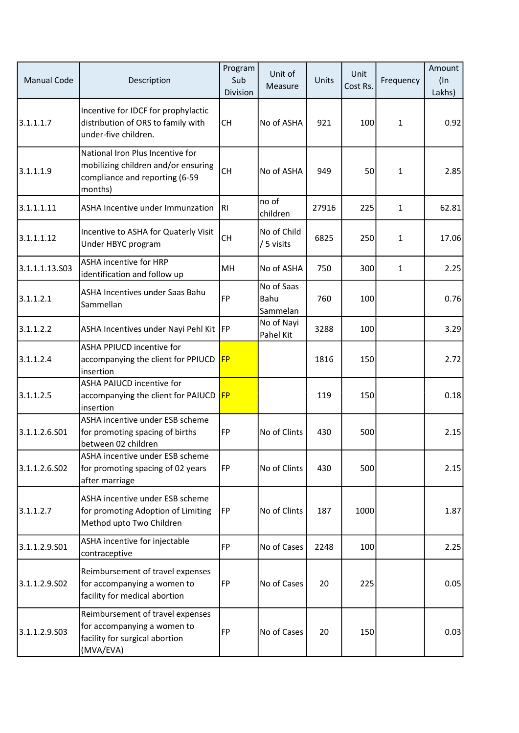| <b>Manual Code</b> | Description                                                                                                          | Program<br>Sub<br>Division | Unit of<br>Measure             | Units | Unit<br>Cost Rs. | Frequency    | Amount<br>$($ In<br>Lakhs) |
|--------------------|----------------------------------------------------------------------------------------------------------------------|----------------------------|--------------------------------|-------|------------------|--------------|----------------------------|
| 3.1.1.1.7          | Incentive for IDCF for prophylactic<br>distribution of ORS to family with<br>under-five children.                    | <b>CH</b>                  | No of ASHA                     | 921   | 100              | 1            | 0.92                       |
| 3.1.1.1.9          | National Iron Plus Incentive for<br>mobilizing children and/or ensuring<br>compliance and reporting (6-59<br>months) | <b>CH</b>                  | No of ASHA                     | 949   | 50               | 1            | 2.85                       |
| 3.1.1.1.11         | ASHA Incentive under Immunzation                                                                                     | IRI                        | no of<br>children              | 27916 | 225              | $\mathbf{1}$ | 62.81                      |
| 3.1.1.1.12         | Incentive to ASHA for Quaterly Visit<br>Under HBYC program                                                           | <b>CH</b>                  | No of Child<br>/ 5 visits      | 6825  | 250              | 1            | 17.06                      |
| 3.1.1.1.13.503     | <b>ASHA incentive for HRP</b><br>identification and follow up                                                        | MH                         | No of ASHA                     | 750   | 300              | 1            | 2.25                       |
| 3.1.1.2.1          | ASHA Incentives under Saas Bahu<br>Sammellan                                                                         | FP                         | No of Saas<br>Bahu<br>Sammelan | 760   | 100              |              | 0.76                       |
| 3.1.1.2.2          | ASHA Incentives under Nayi Pehl Kit   FP                                                                             |                            | No of Nayi<br>Pahel Kit        | 3288  | 100              |              | 3.29                       |
| 3.1.1.2.4          | <b>ASHA PPIUCD incentive for</b><br>accompanying the client for PPIUCD<br>insertion                                  | FP                         |                                | 1816  | 150              |              | 2.72                       |
| 3.1.1.2.5          | <b>ASHA PAIUCD incentive for</b><br>accompanying the client for PAIUCD FP<br>insertion                               |                            |                                | 119   | 150              |              | 0.18                       |
| 3.1.1.2.6.501      | ASHA incentive under ESB scheme<br>for promoting spacing of births<br>between 02 children                            | FP                         | No of Clints                   | 430   | 500              |              | 2.15                       |
| 3.1.1.2.6.S02      | ASHA incentive under ESB scheme<br>for promoting spacing of 02 years<br>after marriage                               | FP                         | No of Clints                   | 430   | 500              |              | 2.15                       |
| 3.1.1.2.7          | ASHA incentive under ESB scheme<br>for promoting Adoption of Limiting<br>Method upto Two Children                    | FP]                        | No of Clints                   | 187   | 1000             |              | 1.87                       |
| 3.1.1.2.9.S01      | ASHA incentive for injectable<br>contraceptive                                                                       | FP                         | No of Cases                    | 2248  | 100              |              | 2.25                       |
| 3.1.1.2.9.502      | Reimbursement of travel expenses<br>for accompanying a women to<br>facility for medical abortion                     | FP]                        | No of Cases                    | 20    | 225              |              | 0.05                       |
| 3.1.1.2.9.503      | Reimbursement of travel expenses<br>for accompanying a women to<br>facility for surgical abortion<br>(MVA/EVA)       | FP                         | No of Cases                    | 20    | 150              |              | 0.03                       |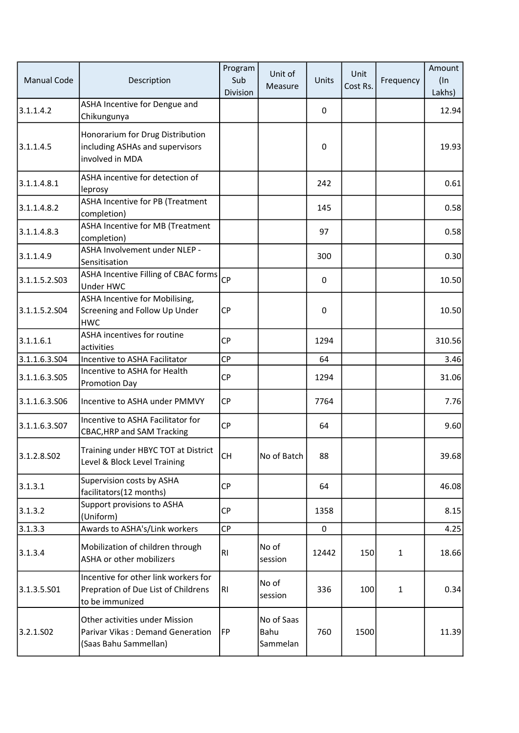| <b>Manual Code</b> | Description                                                                                    | Program<br>Sub<br>Division | Unit of<br>Measure             | Units            | Unit<br>Cost Rs. | Frequency    | Amount<br>$($ In<br>Lakhs) |
|--------------------|------------------------------------------------------------------------------------------------|----------------------------|--------------------------------|------------------|------------------|--------------|----------------------------|
| 3.1.1.4.2          | ASHA Incentive for Dengue and<br>Chikungunya                                                   |                            |                                | 0                |                  |              | 12.94                      |
| 3.1.1.4.5          | Honorarium for Drug Distribution<br>including ASHAs and supervisors<br>involved in MDA         |                            |                                | 0                |                  |              | 19.93                      |
| 3.1.1.4.8.1        | ASHA incentive for detection of<br>leprosy                                                     |                            |                                | 242              |                  |              | 0.61                       |
| 3.1.1.4.8.2        | ASHA Incentive for PB (Treatment<br>completion)                                                |                            |                                | 145              |                  |              | 0.58                       |
| 3.1.1.4.8.3        | ASHA Incentive for MB (Treatment<br>completion)                                                |                            |                                | 97               |                  |              | 0.58                       |
| 3.1.1.4.9          | ASHA Involvement under NLEP -<br>Sensitisation                                                 |                            |                                | 300              |                  |              | 0.30                       |
| 3.1.1.5.2.S03      | ASHA Incentive Filling of CBAC forms<br>Under HWC                                              | <b>CP</b>                  |                                | 0                |                  |              | 10.50                      |
| 3.1.1.5.2.504      | ASHA Incentive for Mobilising,<br>Screening and Follow Up Under<br><b>HWC</b>                  | <b>CP</b>                  |                                | $\boldsymbol{0}$ |                  |              | 10.50                      |
| 3.1.1.6.1          | ASHA incentives for routine<br>activities                                                      | <b>CP</b>                  |                                | 1294             |                  |              | 310.56                     |
| 3.1.1.6.3.504      | Incentive to ASHA Facilitator                                                                  | <b>CP</b>                  |                                | 64               |                  |              | 3.46                       |
| 3.1.1.6.3.505      | Incentive to ASHA for Health<br>Promotion Day                                                  | <b>CP</b>                  |                                | 1294             |                  |              | 31.06                      |
| 3.1.1.6.3.S06      | Incentive to ASHA under PMMVY                                                                  | <b>CP</b>                  |                                | 7764             |                  |              | 7.76                       |
| 3.1.1.6.3.S07      | Incentive to ASHA Facilitator for<br><b>CBAC, HRP and SAM Tracking</b>                         | <b>CP</b>                  |                                | 64               |                  |              | 9.60                       |
| 3.1.2.8.502        | Training under HBYC TOT at District<br>Level & Block Level Training                            | lсн                        | No of Batch                    | 88               |                  |              | 39.68                      |
| 3.1.3.1            | Supervision costs by ASHA<br>facilitators(12 months)                                           | <b>CP</b>                  |                                | 64               |                  |              | 46.08                      |
| 3.1.3.2            | Support provisions to ASHA<br>(Uniform)                                                        | <b>CP</b>                  |                                | 1358             |                  |              | 8.15                       |
| 3.1.3.3            | Awards to ASHA's/Link workers                                                                  | CP                         |                                | 0                |                  |              | 4.25                       |
| 3.1.3.4            | Mobilization of children through<br>ASHA or other mobilizers                                   | RI.                        | No of<br>session               | 12442            | 150              | $\mathbf{1}$ | 18.66                      |
| 3.1.3.5.501        | Incentive for other link workers for<br>Prepration of Due List of Childrens<br>to be immunized | RI                         | No of<br>session               | 336              | 100              | $\mathbf{1}$ | 0.34                       |
| 3.2.1.502          | Other activities under Mission<br>Parivar Vikas: Demand Generation<br>(Saas Bahu Sammellan)    | <b>FP</b>                  | No of Saas<br>Bahu<br>Sammelan | 760              | 1500             |              | 11.39                      |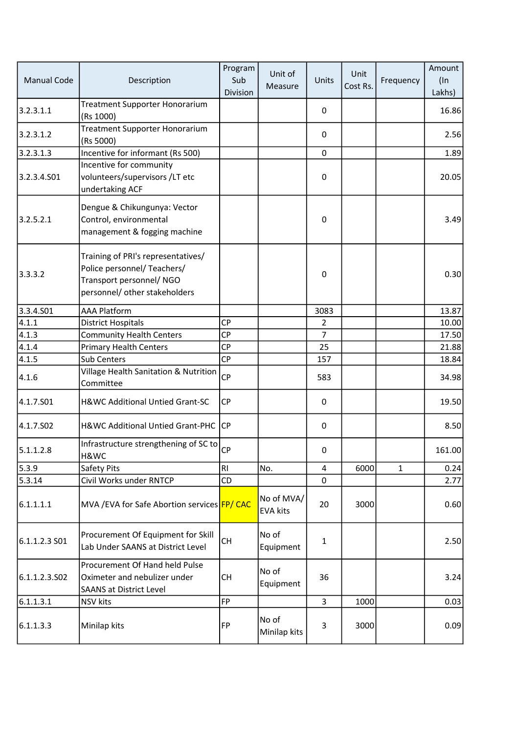| <b>Manual Code</b> | Description                                                                                                                   | Program<br>Sub<br>Division | Unit of<br>Measure            | Units          | Unit<br>Cost Rs. | Frequency    | Amount<br>$($ In<br>Lakhs) |
|--------------------|-------------------------------------------------------------------------------------------------------------------------------|----------------------------|-------------------------------|----------------|------------------|--------------|----------------------------|
| 3.2.3.1.1          | Treatment Supporter Honorarium<br>(Rs 1000)                                                                                   |                            |                               | 0              |                  |              | 16.86                      |
| 3.2.3.1.2          | Treatment Supporter Honorarium<br>(Rs 5000)                                                                                   |                            |                               | $\pmb{0}$      |                  |              | 2.56                       |
| 3.2.3.1.3          | Incentive for informant (Rs 500)                                                                                              |                            |                               | 0              |                  |              | 1.89                       |
| 3.2.3.4.S01        | Incentive for community<br>volunteers/supervisors/LT etc<br>undertaking ACF                                                   |                            |                               | $\pmb{0}$      |                  |              | 20.05                      |
| 3.2.5.2.1          | Dengue & Chikungunya: Vector<br>Control, environmental<br>management & fogging machine                                        |                            |                               | $\pmb{0}$      |                  |              | 3.49                       |
| 3.3.3.2            | Training of PRI's representatives/<br>Police personnel/ Teachers/<br>Transport personnel/NGO<br>personnel/ other stakeholders |                            |                               | 0              |                  |              | 0.30                       |
| 3.3.4.501          | <b>AAA Platform</b>                                                                                                           |                            |                               | 3083           |                  |              | 13.87                      |
| 4.1.1              | <b>District Hospitals</b>                                                                                                     | CP                         |                               | $\overline{2}$ |                  |              | 10.00                      |
| 4.1.3              | <b>Community Health Centers</b>                                                                                               | <b>CP</b>                  |                               | $\overline{7}$ |                  |              | 17.50                      |
| 4.1.4              | <b>Primary Health Centers</b>                                                                                                 | <b>CP</b>                  |                               | 25             |                  |              | 21.88                      |
| 4.1.5              | <b>Sub Centers</b>                                                                                                            | CP                         |                               | 157            |                  |              | 18.84                      |
| 4.1.6              | Village Health Sanitation & Nutrition<br>Committee                                                                            | <b>CP</b>                  |                               | 583            |                  |              | 34.98                      |
| 4.1.7.501          | H&WC Additional Untied Grant-SC                                                                                               | CP                         |                               | $\pmb{0}$      |                  |              | 19.50                      |
| 4.1.7.502          | H&WC Additional Untied Grant-PHC CP                                                                                           |                            |                               | $\mathbf 0$    |                  |              | 8.50                       |
| 5.1.1.2.8          | Infrastructure strengthening of SC to $_{CP}$<br>H&WC                                                                         |                            |                               | 0              |                  |              | 161.00                     |
| 5.3.9              | Safety Pits                                                                                                                   | RI                         | No.                           | $\overline{4}$ | 6000             | $\mathbf{1}$ | 0.24                       |
| 5.3.14             | Civil Works under RNTCP                                                                                                       | CD                         |                               | 0              |                  |              | 2.77                       |
| 6.1.1.1.1          | MVA /EVA for Safe Abortion services FP/ CAC                                                                                   |                            | No of MVA/<br><b>EVA kits</b> | 20             | 3000             |              | 0.60                       |
| 6.1.1.2.3 S01      | Procurement Of Equipment for Skill<br>Lab Under SAANS at District Level                                                       | <b>CH</b>                  | No of<br>Equipment            | $\mathbf 1$    |                  |              | 2.50                       |
| 6.1.1.2.3.502      | Procurement Of Hand held Pulse<br>Oximeter and nebulizer under<br><b>SAANS at District Level</b>                              | <b>CH</b>                  | No of<br>Equipment            | 36             |                  |              | 3.24                       |
| 6.1.1.3.1          | NSV kits                                                                                                                      | FP                         |                               | 3              | 1000             |              | 0.03                       |
| 6.1.1.3.3          | Minilap kits                                                                                                                  | FP                         | No of<br>Minilap kits         | 3              | 3000             |              | 0.09                       |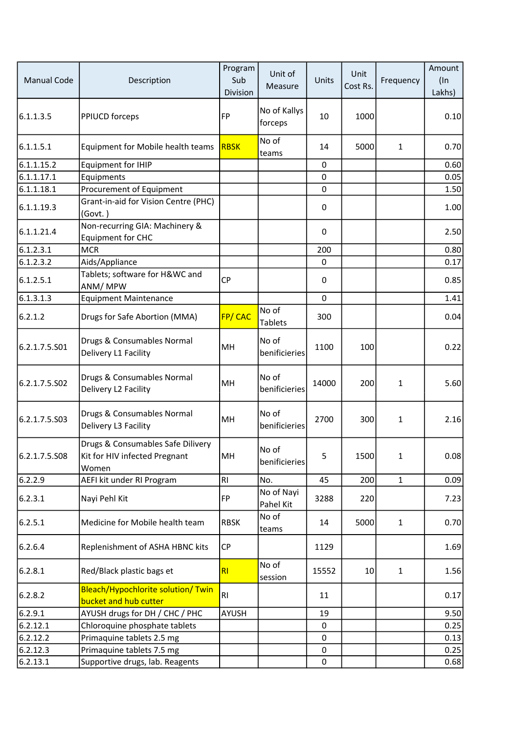| <b>Manual Code</b> | Description                                                                 | Program<br>Sub<br>Division | Unit of<br>Measure      | Units        | Unit<br>Cost Rs. | Frequency    | Amount<br>$($ In<br>Lakhs) |
|--------------------|-----------------------------------------------------------------------------|----------------------------|-------------------------|--------------|------------------|--------------|----------------------------|
| 6.1.1.3.5          | PPIUCD forceps                                                              | <b>FP</b>                  | No of Kallys<br>forceps | 10           | 1000             |              | 0.10                       |
| 6.1.1.5.1          | Equipment for Mobile health teams                                           | RBSK                       | No of<br>teams          | 14           | 5000             | 1            | 0.70                       |
| 6.1.1.15.2         | <b>Equipment for IHIP</b>                                                   |                            |                         | $\mathbf{0}$ |                  |              | 0.60                       |
| 6.1.1.17.1         | Equipments                                                                  |                            |                         | $\mathbf 0$  |                  |              | 0.05                       |
| 6.1.1.18.1         | Procurement of Equipment                                                    |                            |                         | $\mathbf 0$  |                  |              | 1.50                       |
| 6.1.1.19.3         | Grant-in-aid for Vision Centre (PHC)<br>(Govt.)                             |                            |                         | 0            |                  |              | 1.00                       |
| 6.1.1.21.4         | Non-recurring GIA: Machinery &<br><b>Equipment for CHC</b>                  |                            |                         | $\mathbf 0$  |                  |              | 2.50                       |
| 6.1.2.3.1          | <b>MCR</b>                                                                  |                            |                         | 200          |                  |              | 0.80                       |
| 6.1.2.3.2          | Aids/Appliance                                                              |                            |                         | $\pmb{0}$    |                  |              | 0.17                       |
| 6.1.2.5.1          | Tablets; software for H&WC and<br>ANM/MPW                                   | <b>CP</b>                  |                         | 0            |                  |              | 0.85                       |
| 6.1.3.1.3          | <b>Equipment Maintenance</b>                                                |                            |                         | $\pmb{0}$    |                  |              | 1.41                       |
| 6.2.1.2            | Drugs for Safe Abortion (MMA)                                               | <b>FP/CAC</b>              | No of<br><b>Tablets</b> | 300          |                  |              | 0.04                       |
| 6.2.1.7.5.S01      | Drugs & Consumables Normal<br>Delivery L1 Facility                          | MH                         | No of<br>benificieries  | 1100         | 100              |              | 0.22                       |
| 6.2.1.7.5.502      | Drugs & Consumables Normal<br>Delivery L2 Facility                          | MH                         | No of<br>benificieries  | 14000        | 200              | 1            | 5.60                       |
| 6.2.1.7.5.S03      | Drugs & Consumables Normal<br>Delivery L3 Facility                          | MH                         | No of<br>benificieries  | 2700         | 300              | 1            | 2.16                       |
| 6.2.1.7.5.508      | Drugs & Consumables Safe Dilivery<br>Kit for HIV infected Pregnant<br>Women | MH                         | No of<br>benificieries  | 5            | 1500             | 1            | 0.08                       |
| 6.2.2.9            | AEFI kit under RI Program                                                   | RI                         | No.                     | 45           | 200              | $\mathbf{1}$ | 0.09                       |
| 6.2.3.1            | Nayi Pehl Kit                                                               | FP                         | No of Nayi<br>Pahel Kit | 3288         | 220              |              | 7.23                       |
| 6.2.5.1            | Medicine for Mobile health team                                             | <b>RBSK</b>                | No of<br>teams          | 14           | 5000             | $\mathbf{1}$ | 0.70                       |
| 6.2.6.4            | Replenishment of ASHA HBNC kits                                             | <b>CP</b>                  |                         | 1129         |                  |              | 1.69                       |
| 6.2.8.1            | Red/Black plastic bags et                                                   | R <sub>l</sub>             | No of<br>session        | 15552        | 10 <sup>1</sup>  | $\mathbf{1}$ | 1.56                       |
| 6.2.8.2            | Bleach/Hypochlorite solution/ Twin<br>bucket and hub cutter                 | RI.                        |                         | 11           |                  |              | 0.17                       |
| 6.2.9.1            | AYUSH drugs for DH / CHC / PHC                                              | AYUSH                      |                         | 19           |                  |              | 9.50                       |
| 6.2.12.1           | Chloroquine phosphate tablets                                               |                            |                         | 0            |                  |              | 0.25                       |
| 6.2.12.2           | Primaquine tablets 2.5 mg                                                   |                            |                         | 0            |                  |              | 0.13                       |
| 6.2.12.3           | Primaquine tablets 7.5 mg                                                   |                            |                         | 0            |                  |              | 0.25                       |
| 6.2.13.1           | Supportive drugs, lab. Reagents                                             |                            |                         | 0            |                  |              | 0.68                       |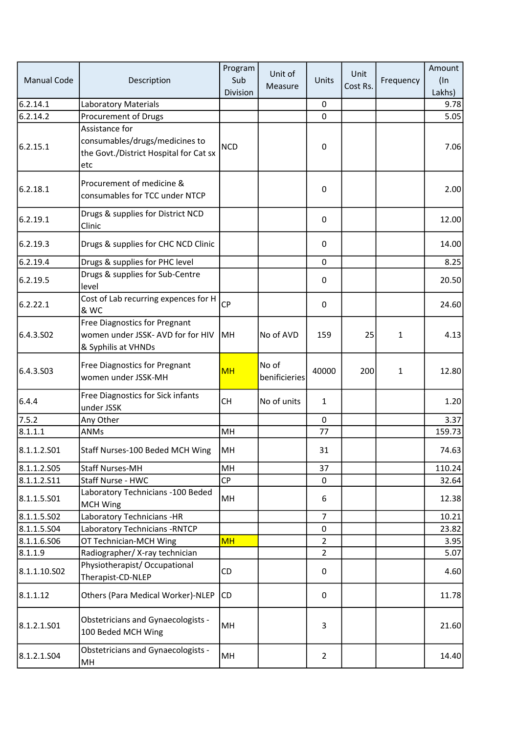| <b>Manual Code</b> | Description                                                                                       | Program<br>Sub<br>Division | Unit of<br>Measure     | Units          | Unit<br>Cost Rs. | Frequency | Amount<br>$($ In<br>Lakhs) |
|--------------------|---------------------------------------------------------------------------------------------------|----------------------------|------------------------|----------------|------------------|-----------|----------------------------|
| 6.2.14.1           | Laboratory Materials                                                                              |                            |                        | 0              |                  |           | 9.78                       |
| 6.2.14.2           | Procurement of Drugs                                                                              |                            |                        | $\mathbf 0$    |                  |           | 5.05                       |
| 6.2.15.1           | Assistance for<br>consumables/drugs/medicines to<br>the Govt./District Hospital for Cat sx<br>etc | <b>NCD</b>                 |                        | $\mathbf 0$    |                  |           | 7.06                       |
| 6.2.18.1           | Procurement of medicine &<br>consumables for TCC under NTCP                                       |                            |                        | $\pmb{0}$      |                  |           | 2.00                       |
| 6.2.19.1           | Drugs & supplies for District NCD<br>Clinic                                                       |                            |                        | $\mathbf 0$    |                  |           | 12.00                      |
| 6.2.19.3           | Drugs & supplies for CHC NCD Clinic                                                               |                            |                        | 0              |                  |           | 14.00                      |
| 6.2.19.4           | Drugs & supplies for PHC level                                                                    |                            |                        | $\mathbf 0$    |                  |           | 8.25                       |
| 6.2.19.5           | Drugs & supplies for Sub-Centre<br>level                                                          |                            |                        | $\mathbf 0$    |                  |           | 20.50                      |
| 6.2.22.1           | Cost of Lab recurring expences for H<br>& WC                                                      | <b>CP</b>                  |                        | $\pmb{0}$      |                  |           | 24.60                      |
| 6.4.3.502          | Free Diagnostics for Pregnant<br>women under JSSK- AVD for for HIV<br>& Syphilis at VHNDs         | <b>MH</b>                  | No of AVD              | 159            | 25               | 1         | 4.13                       |
| 6.4.3.S03          | Free Diagnostics for Pregnant<br>women under JSSK-MH                                              | <b>MH</b>                  | No of<br>benificieries | 40000          | 200              | 1         | 12.80                      |
| 6.4.4              | Free Diagnostics for Sick infants<br>under JSSK                                                   | <b>CH</b>                  | No of units            | $\mathbf{1}$   |                  |           | 1.20                       |
| 7.5.2              | Any Other                                                                                         |                            |                        | $\mathbf 0$    |                  |           | 3.37                       |
| 8.1.1.1            | <b>ANMs</b>                                                                                       | MH                         |                        | 77             |                  |           | 159.73                     |
| 8.1.1.2.501        | Staff Nurses-100 Beded MCH Wing                                                                   | MH                         |                        | 31             |                  |           | 74.63                      |
| 8.1.1.2.505        | <b>Staff Nurses-MH</b>                                                                            | MH                         |                        | 37             |                  |           | 110.24                     |
| 8.1.1.2.511        | Staff Nurse - HWC                                                                                 | CP                         |                        | 0              |                  |           | 32.64                      |
| 8.1.1.5.501        | Laboratory Technicians -100 Beded<br><b>MCH Wing</b>                                              | MH                         |                        | 6              |                  |           | 12.38                      |
| 8.1.1.5.S02        | Laboratory Technicians - HR                                                                       |                            |                        | 7              |                  |           | 10.21                      |
| 8.1.1.5.504        | Laboratory Technicians - RNTCP                                                                    |                            |                        | 0              |                  |           | 23.82                      |
| 8.1.1.6.506        | OT Technician-MCH Wing                                                                            | <b>MH</b>                  |                        | 2              |                  |           | 3.95                       |
| 8.1.1.9            | Radiographer/X-ray technician                                                                     |                            |                        | $\overline{2}$ |                  |           | 5.07                       |
| 8.1.1.10.502       | Physiotherapist/Occupational<br>Therapist-CD-NLEP                                                 | CD                         |                        | $\pmb{0}$      |                  |           | 4.60                       |
| 8.1.1.12           | Others (Para Medical Worker)-NLEP                                                                 | CD                         |                        | 0              |                  |           | 11.78                      |
| 8.1.2.1.501        | Obstetricians and Gynaecologists -<br>100 Beded MCH Wing                                          | MH                         |                        | 3              |                  |           | 21.60                      |
| 8.1.2.1.504        | <b>Obstetricians and Gynaecologists -</b><br>MH                                                   | MH                         |                        | $\overline{2}$ |                  |           | 14.40                      |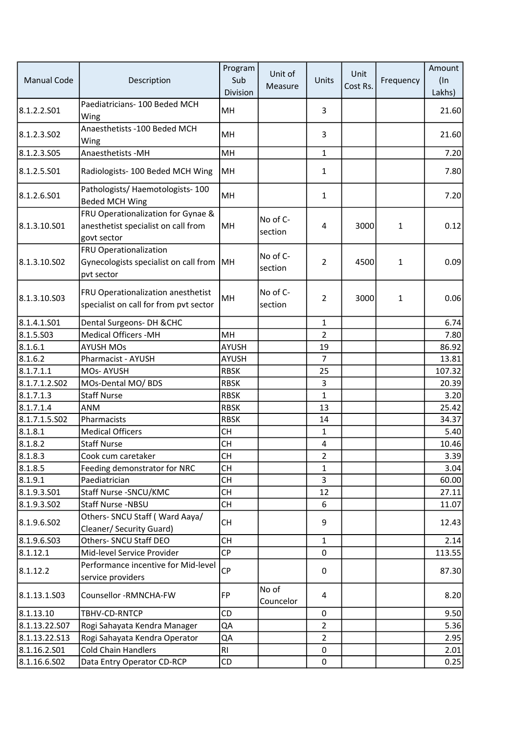| <b>Manual Code</b>     | Description                                                                              | Program<br>Sub<br>Division | Unit of<br>Measure  | Units          | Unit<br>Cost Rs. | Frequency    | Amount<br>$($ In<br>Lakhs) |
|------------------------|------------------------------------------------------------------------------------------|----------------------------|---------------------|----------------|------------------|--------------|----------------------------|
| 8.1.2.2.501            | Paediatricians-100 Beded MCH<br>Wing                                                     | MH                         |                     | 3              |                  |              | 21.60                      |
| 8.1.2.3.502            | Anaesthetists - 100 Beded MCH<br>Wing                                                    | MH                         |                     | 3              |                  |              | 21.60                      |
| 8.1.2.3.505            | Anaesthetists - MH                                                                       | MH                         |                     | $\mathbf{1}$   |                  |              | 7.20                       |
| 8.1.2.5.S01            | Radiologists-100 Beded MCH Wing                                                          | MH                         |                     | 1              |                  |              | 7.80                       |
| 8.1.2.6.501            | Pathologists/Haemotologists-100<br><b>Beded MCH Wing</b>                                 | MH                         |                     | 1              |                  |              | 7.20                       |
| 8.1.3.10.S01           | FRU Operationalization for Gynae &<br>anesthetist specialist on call from<br>govt sector | MH                         | No of C-<br>section | 4              | 3000             | 1            | 0.12                       |
| 8.1.3.10.502           | FRU Operationalization<br>Gynecologists specialist on call from MH<br>pvt sector         |                            | No of C-<br>section | $\overline{2}$ | 4500             | 1            | 0.09                       |
| 8.1.3.10.503           | FRU Operationalization anesthetist<br>specialist on call for from pvt sector             | MH                         | No of C-<br>section | $\overline{2}$ | 3000             | $\mathbf{1}$ | 0.06                       |
| 8.1.4.1.501            | Dental Surgeons- DH & CHC                                                                |                            |                     | $\mathbf{1}$   |                  |              | 6.74                       |
| 8.1.5.503              | <b>Medical Officers -MH</b>                                                              | MH                         |                     | $\overline{2}$ |                  |              | 7.80                       |
| 8.1.6.1                | <b>AYUSH MOs</b>                                                                         | <b>AYUSH</b>               |                     | 19             |                  |              | 86.92                      |
| 8.1.6.2                | Pharmacist - AYUSH                                                                       | <b>AYUSH</b>               |                     | $\overline{7}$ |                  |              | 13.81                      |
| 8.1.7.1.1              | MOs-AYUSH                                                                                | <b>RBSK</b>                |                     | 25             |                  |              | 107.32                     |
| 8.1.7.1.2.502          | MOs-Dental MO/ BDS                                                                       | <b>RBSK</b>                |                     | 3              |                  |              | 20.39                      |
| 8.1.7.1.3              | <b>Staff Nurse</b>                                                                       | <b>RBSK</b>                |                     | $\mathbf{1}$   |                  |              | 3.20                       |
| 8.1.7.1.4              | ANM                                                                                      | <b>RBSK</b>                |                     | 13             |                  |              | 25.42                      |
| 8.1.7.1.5.502          | Pharmacists                                                                              | <b>RBSK</b>                |                     | 14             |                  |              | 34.37                      |
| 8.1.8.1                | <b>Medical Officers</b>                                                                  | <b>CH</b>                  |                     | $\mathbf{1}$   |                  |              | 5.40                       |
| 8.1.8.2                | <b>Staff Nurse</b>                                                                       | <b>CH</b>                  |                     | 4              |                  |              | 10.46                      |
| 8.1.8.3                | Cook cum caretaker                                                                       | <b>CH</b>                  |                     | $\overline{2}$ |                  |              | 3.39                       |
| 8.1.8.5                | Feeding demonstrator for NRC                                                             | <b>CH</b>                  |                     | $\mathbf{1}$   |                  |              | 3.04                       |
| 8.1.9.1<br>8.1.9.3.501 | Paediatrician<br>Staff Nurse - SNCU/KMC                                                  | <b>CH</b><br><b>CH</b>     |                     | 3<br>12        |                  |              | 60.00<br>27.11             |
| 8.1.9.3.502            | Staff Nurse -NBSU                                                                        | CH                         |                     | 6              |                  |              | 11.07                      |
|                        | Others- SNCU Staff (Ward Aaya/                                                           |                            |                     |                |                  |              |                            |
| 8.1.9.6.502            | Cleaner/ Security Guard)                                                                 | <b>CH</b>                  |                     | 9              |                  |              | 12.43                      |
| 8.1.9.6.S03            | Others- SNCU Staff DEO                                                                   | <b>CH</b>                  |                     | $\mathbf{1}$   |                  |              | 2.14                       |
| 8.1.12.1               | Mid-level Service Provider                                                               | <b>CP</b>                  |                     | $\pmb{0}$      |                  |              | 113.55                     |
|                        | Performance incentive for Mid-level                                                      |                            |                     |                |                  |              |                            |
| 8.1.12.2               | service providers                                                                        | <b>CP</b>                  |                     | 0              |                  |              | 87.30                      |
| 8.1.13.1.503           | Counsellor -RMNCHA-FW                                                                    | <b>FP</b>                  | No of<br>Councelor  | 4              |                  |              | 8.20                       |
| 8.1.13.10              | TBHV-CD-RNTCP                                                                            | <b>CD</b>                  |                     | 0              |                  |              | 9.50                       |
| 8.1.13.22.S07          | Rogi Sahayata Kendra Manager                                                             | QA                         |                     | $\overline{2}$ |                  |              | 5.36                       |
| 8.1.13.22.S13          | Rogi Sahayata Kendra Operator                                                            | QA                         |                     | 2              |                  |              | 2.95                       |
| 8.1.16.2.501           | <b>Cold Chain Handlers</b>                                                               | RI.                        |                     | $\pmb{0}$      |                  |              | 2.01                       |
| 8.1.16.6.502           | Data Entry Operator CD-RCP                                                               | CD                         |                     | $\pmb{0}$      |                  |              | 0.25                       |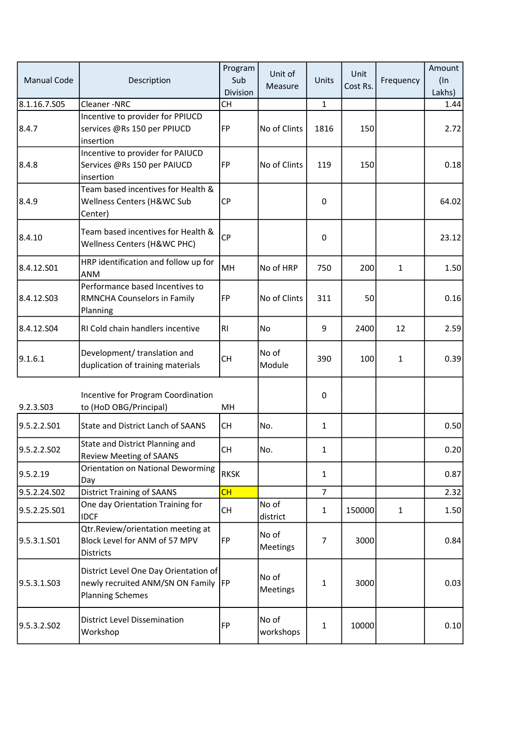| <b>Manual Code</b>      | Description                                                                                             | Program<br>Sub<br>Division | Unit of<br>Measure       | Units          | Unit<br>Cost Rs. | Frequency    | Amount<br>$($ In<br>Lakhs) |
|-------------------------|---------------------------------------------------------------------------------------------------------|----------------------------|--------------------------|----------------|------------------|--------------|----------------------------|
| 8.1.16.7.S05            | Cleaner-NRC                                                                                             | <b>CH</b>                  |                          | $\mathbf{1}$   |                  |              | 1.44                       |
| 8.4.7                   | Incentive to provider for PPIUCD<br>services @Rs 150 per PPIUCD<br>insertion                            | FP                         | No of Clints             | 1816           | 150              |              | 2.72                       |
| 8.4.8                   | Incentive to provider for PAIUCD<br>Services @Rs 150 per PAIUCD<br>insertion                            | FP                         | No of Clints             | 119            | 150              |              | 0.18                       |
| 8.4.9                   | Team based incentives for Health &<br>Wellness Centers (H&WC Sub<br>Center)                             | <b>CP</b>                  |                          | $\mathbf 0$    |                  |              | 64.02                      |
| 8.4.10                  | Team based incentives for Health &<br>Wellness Centers (H&WC PHC)                                       | <b>CP</b>                  |                          | $\mathbf 0$    |                  |              | 23.12                      |
| 8.4.12.S01              | HRP identification and follow up for<br><b>ANM</b>                                                      | MH                         | No of HRP                | 750            | 200              | $\mathbf{1}$ | 1.50                       |
| 8.4.12.503              | Performance based Incentives to<br>RMNCHA Counselors in Family<br>Planning                              | FP                         | No of Clints             | 311            | 50               |              | 0.16                       |
| 8.4.12.504              | RI Cold chain handlers incentive                                                                        | R <sub>1</sub>             | No                       | 9              | 2400             | 12           | 2.59                       |
| 9.1.6.1                 | Development/ translation and<br>duplication of training materials                                       | <b>CH</b>                  | No of<br>Module          | 390            | 100              | $\mathbf{1}$ | 0.39                       |
| 9.2.3.S03               | Incentive for Program Coordination<br>to (HoD OBG/Principal)                                            | MН                         |                          | 0              |                  |              |                            |
| 9.5.2.2.501             | State and District Lanch of SAANS                                                                       | <b>CH</b>                  | No.                      | $\mathbf{1}$   |                  |              | 0.50                       |
| 9.5.2.2.SO <sub>2</sub> | State and District Planning and<br><b>Review Meeting of SAANS</b>                                       | <b>CH</b>                  | No.                      | 1              |                  |              | 0.20                       |
| 9.5.2.19                | Orientation on National Deworming<br>Day                                                                | <b>RKSK</b>                |                          | $\mathbf{1}$   |                  |              | 0.87                       |
| 9.5.2.24.S02            | <b>District Training of SAANS</b>                                                                       | CH                         |                          | $\overline{7}$ |                  |              | 2.32                       |
| 9.5.2.25.S01            | One day Orientation Training for<br><b>IDCF</b>                                                         | <b>CH</b>                  | No of<br>district        | $\mathbf{1}$   | 150000           | $\mathbf{1}$ | 1.50                       |
| 9.5.3.1.501             | Qtr.Review/orientation meeting at<br>Block Level for ANM of 57 MPV<br><b>Districts</b>                  | FP                         | No of<br>Meetings        | $\overline{7}$ | 3000             |              | 0.84                       |
| 9.5.3.1.503             | District Level One Day Orientation of<br>newly recruited ANM/SN ON Family FP<br><b>Planning Schemes</b> |                            | No of<br><b>Meetings</b> | 1              | 3000             |              | 0.03                       |
| 9.5.3.2.SO2             | <b>District Level Dissemination</b><br>Workshop                                                         | FP                         | No of<br>workshops       | $\mathbf{1}$   | 10000            |              | 0.10                       |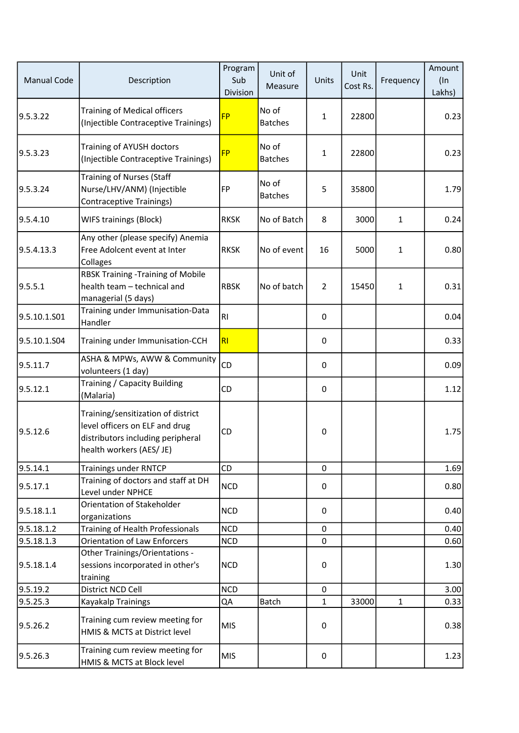| <b>Manual Code</b> | Description                                                                                                                           | Program<br>Sub<br>Division | Unit of<br>Measure      | Units          | Unit<br>Cost Rs. | Frequency    | Amount<br>$($ In<br>Lakhs) |
|--------------------|---------------------------------------------------------------------------------------------------------------------------------------|----------------------------|-------------------------|----------------|------------------|--------------|----------------------------|
| 9.5.3.22           | Training of Medical officers<br>(Injectible Contraceptive Trainings)                                                                  | <b>FP</b>                  | No of<br><b>Batches</b> | 1              | 22800            |              | 0.23                       |
| 9.5.3.23           | Training of AYUSH doctors<br>(Injectible Contraceptive Trainings)                                                                     | <b>FP</b>                  | No of<br><b>Batches</b> | 1              | 22800            |              | 0.23                       |
| 9.5.3.24           | <b>Training of Nurses (Staff</b><br>Nurse/LHV/ANM) (Injectible<br>Contraceptive Trainings)                                            | FP                         | No of<br><b>Batches</b> | 5              | 35800            |              | 1.79                       |
| 9.5.4.10           | <b>WIFS trainings (Block)</b>                                                                                                         | <b>RKSK</b>                | No of Batch             | 8              | 3000             | 1            | 0.24                       |
| 9.5.4.13.3         | Any other (please specify) Anemia<br>Free Adolcent event at Inter<br>Collages                                                         | <b>RKSK</b>                | No of event             | 16             | 5000             | 1            | 0.80                       |
| 9.5.5.1            | <b>RBSK Training -Training of Mobile</b><br>health team - technical and<br>managerial (5 days)                                        | <b>RBSK</b>                | No of batch             | $\overline{2}$ | 15450            | 1            | 0.31                       |
| 9.5.10.1.S01       | Training under Immunisation-Data<br>Handler                                                                                           | RI.                        |                         | 0              |                  |              | 0.04                       |
| 9.5.10.1.S04       | Training under Immunisation-CCH                                                                                                       | RI                         |                         | $\pmb{0}$      |                  |              | 0.33                       |
| 9.5.11.7           | ASHA & MPWs, AWW & Community<br>volunteers (1 day)                                                                                    | CD                         |                         | 0              |                  |              | 0.09                       |
| 9.5.12.1           | Training / Capacity Building<br>(Malaria)                                                                                             | <b>CD</b>                  |                         | 0              |                  |              | 1.12                       |
| 9.5.12.6           | Training/sensitization of district<br>level officers on ELF and drug<br>distributors including peripheral<br>health workers (AES/ JE) | CD                         |                         | $\pmb{0}$      |                  |              | 1.75                       |
| 9.5.14.1           | <b>Trainings under RNTCP</b>                                                                                                          | CD                         |                         | $\mathbf 0$    |                  |              | 1.69                       |
| 9.5.17.1           | Training of doctors and staff at DH<br>Level under NPHCE                                                                              | <b>NCD</b>                 |                         | 0              |                  |              | 0.80                       |
| 9.5.18.1.1         | Orientation of Stakeholder<br>organizations                                                                                           | <b>NCD</b>                 |                         | 0              |                  |              | 0.40                       |
| 9.5.18.1.2         | Training of Health Professionals                                                                                                      | <b>NCD</b>                 |                         | $\mathbf 0$    |                  |              | 0.40                       |
| 9.5.18.1.3         | <b>Orientation of Law Enforcers</b>                                                                                                   | <b>NCD</b>                 |                         | $\mathbf 0$    |                  |              | 0.60                       |
| 9.5.18.1.4         | Other Trainings/Orientations -<br>sessions incorporated in other's<br>training                                                        | <b>NCD</b>                 |                         | $\pmb{0}$      |                  |              | 1.30                       |
| 9.5.19.2           | District NCD Cell                                                                                                                     | <b>NCD</b>                 |                         | 0              |                  |              | 3.00                       |
| 9.5.25.3           | Kayakalp Trainings                                                                                                                    | QA                         | <b>Batch</b>            | $\mathbf{1}$   | 33000            | $\mathbf{1}$ | 0.33                       |
| 9.5.26.2           | Training cum review meeting for<br>HMIS & MCTS at District level                                                                      | MIS                        |                         | $\pmb{0}$      |                  |              | 0.38                       |
| 9.5.26.3           | Training cum review meeting for<br>HMIS & MCTS at Block level                                                                         | MIS                        |                         | 0              |                  |              | 1.23                       |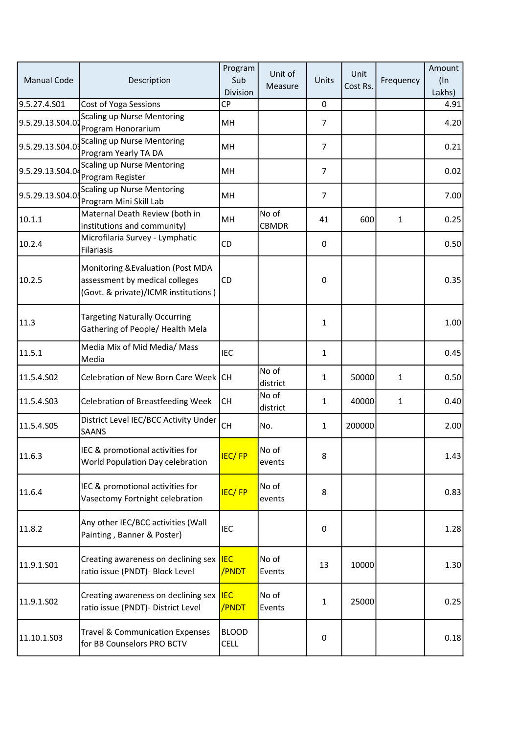| <b>Manual Code</b> | Description                                                                                                 | Program<br>Sub<br>Division  | Unit of<br>Measure    | Units          | Unit<br>Cost Rs. | Frequency    | Amount<br>$($ In<br>Lakhs) |
|--------------------|-------------------------------------------------------------------------------------------------------------|-----------------------------|-----------------------|----------------|------------------|--------------|----------------------------|
| 9.5.27.4.S01       | Cost of Yoga Sessions                                                                                       | <b>CP</b>                   |                       | 0              |                  |              | 4.91                       |
| 9.5.29.13.S04.0.   | <b>Scaling up Nurse Mentoring</b><br>Program Honorarium                                                     | MH                          |                       | 7              |                  |              | 4.20                       |
| 9.5.29.13.S04.0    | <b>Scaling up Nurse Mentoring</b><br>Program Yearly TA DA                                                   | MH                          |                       | $\overline{7}$ |                  |              | 0.21                       |
| 9.5.29.13.S04.0    | <b>Scaling up Nurse Mentoring</b><br>Program Register                                                       | MH                          |                       | $\overline{7}$ |                  |              | 0.02                       |
| 9.5.29.13.S04.0    | <b>Scaling up Nurse Mentoring</b><br>Program Mini Skill Lab                                                 | MH                          |                       | $\overline{7}$ |                  |              | 7.00                       |
| 10.1.1             | Maternal Death Review (both in<br>institutions and community)                                               | MH                          | No of<br><b>CBMDR</b> | 41             | 600              | $\mathbf{1}$ | 0.25                       |
| 10.2.4             | Microfilaria Survey - Lymphatic<br><b>Filariasis</b>                                                        | CD                          |                       | 0              |                  |              | 0.50                       |
| 10.2.5             | Monitoring & Evaluation (Post MDA<br>assessment by medical colleges<br>(Govt. & private)/ICMR institutions) | <b>CD</b>                   |                       | $\pmb{0}$      |                  |              | 0.35                       |
| 11.3               | <b>Targeting Naturally Occurring</b><br>Gathering of People/ Health Mela                                    |                             |                       | $\mathbf{1}$   |                  |              | 1.00                       |
| 11.5.1             | Media Mix of Mid Media/ Mass<br>Media                                                                       | <b>IEC</b>                  |                       | $\mathbf{1}$   |                  |              | 0.45                       |
| 11.5.4.S02         | Celebration of New Born Care Week CH                                                                        |                             | No of<br>district     | $\mathbf{1}$   | 50000            | 1            | 0.50                       |
| 11.5.4.S03         | <b>Celebration of Breastfeeding Week</b>                                                                    | <b>CH</b>                   | No of<br>district     | $\mathbf{1}$   | 40000            | $\mathbf{1}$ | 0.40                       |
| 11.5.4.S05         | District Level IEC/BCC Activity Under<br>SAANS                                                              | <b>CH</b>                   | No.                   | $\mathbf{1}$   | 200000           |              | 2.00                       |
| 11.6.3             | IEC & promotional activities for<br>World Population Day celebration                                        | <b>IEC/FP</b>               | No of<br>events       | 8              |                  |              | 1.43                       |
| 11.6.4             | IEC & promotional activities for<br>Vasectomy Fortnight celebration                                         | <b>IEC/FP</b>               | No of<br>events       | 8              |                  |              | 0.83                       |
| 11.8.2             | Any other IEC/BCC activities (Wall<br>Painting, Banner & Poster)                                            | <b>IEC</b>                  |                       | 0              |                  |              | 1.28                       |
| 11.9.1.S01         | Creating awareness on declining sex <b>IEC</b><br>ratio issue (PNDT)- Block Level                           | /PNDT                       | No of<br>Events       | 13             | 10000            |              | 1.30                       |
| 11.9.1.SO2         | Creating awareness on declining sex <b>IEC</b><br>ratio issue (PNDT)- District Level                        | /PNDT                       | No of<br>Events       | $\mathbf{1}$   | 25000            |              | 0.25                       |
| 11.10.1.503        | <b>Travel &amp; Communication Expenses</b><br>for BB Counselors PRO BCTV                                    | <b>BLOOD</b><br><b>CELL</b> |                       | 0              |                  |              | 0.18                       |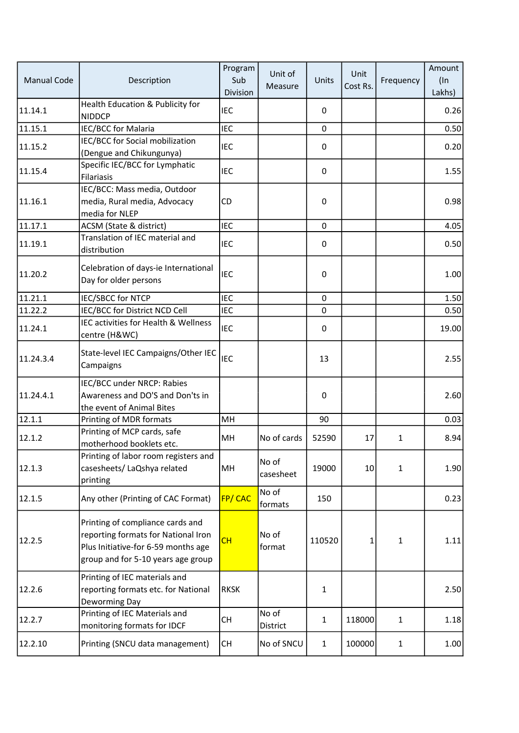| <b>Manual Code</b> | Description                                                                                                                                          | Program<br>Sub<br>Division | Unit of<br>Measure | Units        | Unit<br>Cost Rs. | Frequency    | Amount<br>$($ In<br>Lakhs) |
|--------------------|------------------------------------------------------------------------------------------------------------------------------------------------------|----------------------------|--------------------|--------------|------------------|--------------|----------------------------|
| 11.14.1            | Health Education & Publicity for<br><b>NIDDCP</b>                                                                                                    | <b>IEC</b>                 |                    | 0            |                  |              | 0.26                       |
| 11.15.1            | IEC/BCC for Malaria                                                                                                                                  | <b>IEC</b>                 |                    | 0            |                  |              | 0.50                       |
| 11.15.2            | IEC/BCC for Social mobilization<br>(Dengue and Chikungunya)                                                                                          | <b>IEC</b>                 |                    | 0            |                  |              | 0.20                       |
| 11.15.4            | Specific IEC/BCC for Lymphatic<br><b>Filariasis</b>                                                                                                  | <b>IEC</b>                 |                    | 0            |                  |              | 1.55                       |
| 11.16.1            | IEC/BCC: Mass media, Outdoor<br>media, Rural media, Advocacy<br>media for NLEP                                                                       | CD                         |                    | $\pmb{0}$    |                  |              | 0.98                       |
| 11.17.1            | ACSM (State & district)                                                                                                                              | <b>IEC</b>                 |                    | $\mathbf 0$  |                  |              | 4.05                       |
| 11.19.1            | Translation of IEC material and<br>distribution                                                                                                      | <b>IEC</b>                 |                    | 0            |                  |              | 0.50                       |
| 11.20.2            | Celebration of days-ie International<br>Day for older persons                                                                                        | <b>IEC</b>                 |                    | $\pmb{0}$    |                  |              | 1.00                       |
| 11.21.1            | <b>IEC/SBCC for NTCP</b>                                                                                                                             | <b>IEC</b>                 |                    | $\pmb{0}$    |                  |              | 1.50                       |
| 11.22.2            | IEC/BCC for District NCD Cell                                                                                                                        | <b>IEC</b>                 |                    | $\mathbf 0$  |                  |              | 0.50                       |
| 11.24.1            | IEC activities for Health & Wellness<br>centre (H&WC)                                                                                                | <b>IEC</b>                 |                    | 0            |                  |              | 19.00                      |
| 11.24.3.4          | State-level IEC Campaigns/Other IEC<br>Campaigns                                                                                                     | <b>IEC</b>                 |                    | 13           |                  |              | 2.55                       |
| 11.24.4.1          | IEC/BCC under NRCP: Rabies<br>Awareness and DO'S and Don'ts in<br>the event of Animal Bites                                                          |                            |                    | 0            |                  |              | 2.60                       |
| 12.1.1             | Printing of MDR formats                                                                                                                              | MH                         |                    | 90           |                  |              | 0.03                       |
| 12.1.2             | Printing of MCP cards, safe<br>motherhood booklets etc.                                                                                              | MH                         | No of cards        | 52590        | 17               | $\mathbf{1}$ | 8.94                       |
| 12.1.3             | Printing of labor room registers and<br>casesheets/ LaQshya related<br>printing                                                                      | MH                         | No of<br>casesheet | 19000        | 10               | 1            | 1.90                       |
| 12.1.5             | Any other (Printing of CAC Format)                                                                                                                   | <b>FP/CAC</b>              | No of<br>formats   | 150          |                  |              | 0.23                       |
| 12.2.5             | Printing of compliance cards and<br>reporting formats for National Iron<br>Plus Initiative-for 6-59 months age<br>group and for 5-10 years age group | CH                         | No of<br>format    | 110520       | 1                | 1            | 1.11                       |
| 12.2.6             | Printing of IEC materials and<br>reporting formats etc. for National<br>Deworming Day                                                                | <b>RKSK</b>                |                    | $\mathbf{1}$ |                  |              | 2.50                       |
| 12.2.7             | Printing of IEC Materials and<br>monitoring formats for IDCF                                                                                         | <b>CH</b>                  | No of<br>District  | 1            | 118000           | $\mathbf{1}$ | 1.18                       |
| 12.2.10            | Printing (SNCU data management)                                                                                                                      | <b>CH</b>                  | No of SNCU         | $\mathbf{1}$ | 100000           | 1            | 1.00                       |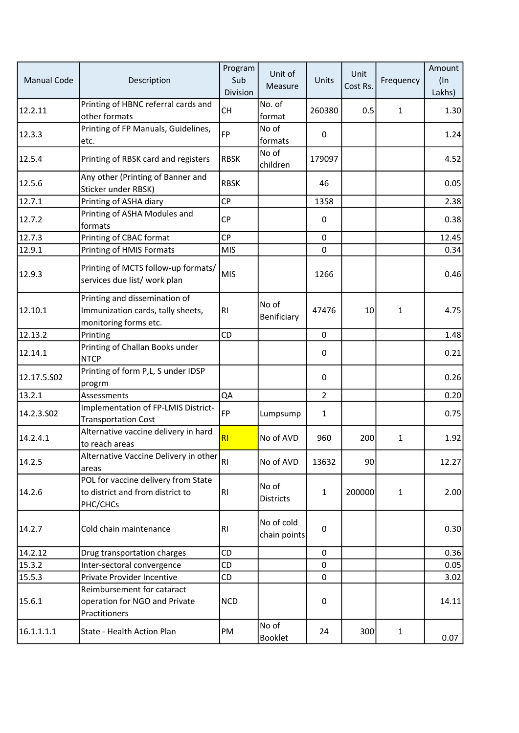| <b>Manual Code</b> | Description                                                                                 | Program<br>Sub<br>Division | Unit of<br>Measure         | Units          | Unit<br>Cost Rs. | Frequency    | Amount<br>$($ In<br>Lakhs) |
|--------------------|---------------------------------------------------------------------------------------------|----------------------------|----------------------------|----------------|------------------|--------------|----------------------------|
| 12.2.11            | Printing of HBNC referral cards and<br>other formats                                        | <b>CH</b>                  | No. of<br>format           | 260380         | 0.5              | 1            | 1.30                       |
| 12.3.3             | Printing of FP Manuals, Guidelines,<br>etc.                                                 | FP <sup></sup>             | No of<br>formats           | $\pmb{0}$      |                  |              | 1.24                       |
| 12.5.4             | Printing of RBSK card and registers                                                         | <b>RBSK</b>                | No of<br>children          | 179097         |                  |              | 4.52                       |
| 12.5.6             | Any other (Printing of Banner and<br>Sticker under RBSK)                                    | <b>RBSK</b>                |                            | 46             |                  |              | 0.05                       |
| 12.7.1             | Printing of ASHA diary                                                                      | <b>CP</b>                  |                            | 1358           |                  |              | 2.38                       |
| 12.7.2             | Printing of ASHA Modules and<br>formats                                                     | <b>CP</b>                  |                            | $\pmb{0}$      |                  |              | 0.38                       |
| 12.7.3             | Printing of CBAC format                                                                     | <b>CP</b>                  |                            | $\mathbf 0$    |                  |              | 12.45                      |
| 12.9.1             | Printing of HMIS Formats                                                                    | <b>MIS</b>                 |                            | $\mathbf 0$    |                  |              | 0.34                       |
| 12.9.3             | Printing of MCTS follow-up formats/<br>services due list/ work plan                         | MIS                        |                            | 1266           |                  |              | 0.46                       |
| 12.10.1            | Printing and dissemination of<br>Immunization cards, tally sheets,<br>monitoring forms etc. | RI                         | No of<br>Benificiary       | 47476          | 10               | 1            | 4.75                       |
| 12.13.2            | Printing                                                                                    | CD                         |                            | $\mathbf 0$    |                  |              | 1.48                       |
| 12.14.1            | Printing of Challan Books under<br><b>NTCP</b>                                              |                            |                            | $\mathbf 0$    |                  |              | 0.21                       |
| 12.17.5.502        | Printing of form P,L, S under IDSP<br>progrm                                                |                            |                            | 0              |                  |              | 0.26                       |
| 13.2.1             | Assessments                                                                                 | QA                         |                            | $\overline{2}$ |                  |              | 0.20                       |
| 14.2.3.S02         | Implementation of FP-LMIS District-<br><b>Transportation Cost</b>                           | <b>FP</b>                  | Lumpsump                   | 1              |                  |              | 0.75                       |
| 14.2.4.1           | Alternative vaccine delivery in hard<br>to reach areas                                      | RI                         | No of AVD                  | 960            | 200              | 1            | 1.92                       |
| 14.2.5             | Alternative Vaccine Delivery in other RI<br>areas                                           |                            | No of AVD                  | 13632          | 90               |              | 12.27                      |
| 14.2.6             | POL for vaccine delivery from State<br>to district and from district to<br>PHC/CHCs         | RI                         | No of<br><b>Districts</b>  | $\mathbf{1}$   | 200000           | $\mathbf{1}$ | 2.00                       |
| 14.2.7             | Cold chain maintenance                                                                      | RI.                        | No of cold<br>chain points | $\pmb{0}$      |                  |              | 0.30                       |
| 14.2.12            | Drug transportation charges                                                                 | CD                         |                            | 0              |                  |              | 0.36                       |
| 15.3.2             | Inter-sectoral convergence                                                                  | CD                         |                            | $\mathbf 0$    |                  |              | 0.05                       |
| 15.5.3             | Private Provider Incentive                                                                  | CD                         |                            | $\mathbf 0$    |                  |              | 3.02                       |
| 15.6.1             | Reimbursement for cataract<br>operation for NGO and Private<br>Practitioners                | <b>NCD</b>                 |                            | $\pmb{0}$      |                  |              | 14.11                      |
| 16.1.1.1.1         | State - Health Action Plan                                                                  | PM                         | No of<br><b>Booklet</b>    | 24             | 300              | $\mathbf{1}$ | 0.07                       |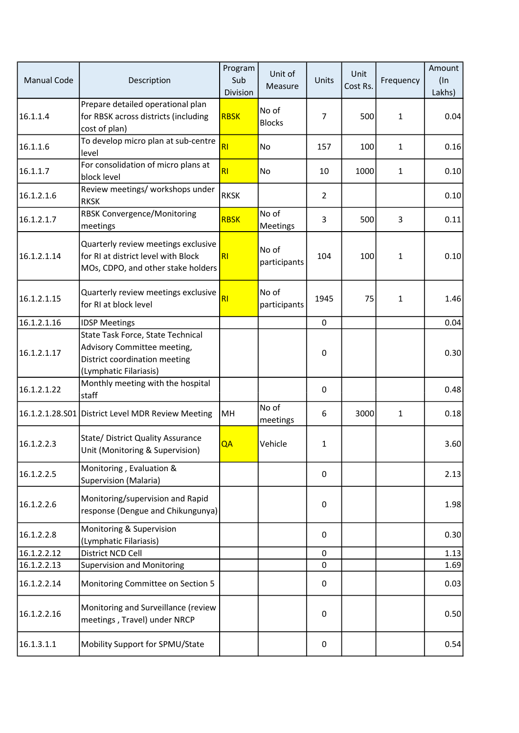| <b>Manual Code</b> | Description                                                                                                                 | Program<br>Sub<br>Division | Unit of<br>Measure       | Units          | Unit<br>Cost Rs. | Frequency    | Amount<br>$($ In<br>Lakhs) |
|--------------------|-----------------------------------------------------------------------------------------------------------------------------|----------------------------|--------------------------|----------------|------------------|--------------|----------------------------|
| 16.1.1.4           | Prepare detailed operational plan<br>for RBSK across districts (including<br>cost of plan)                                  | <b>RBSK</b>                | No of<br><b>Blocks</b>   | 7              | 500              | $\mathbf{1}$ | 0.04                       |
| 16.1.1.6           | To develop micro plan at sub-centre<br>level                                                                                | <b>RI</b>                  | No                       | 157            | 100              | $\mathbf{1}$ | 0.16                       |
| 16.1.1.7           | For consolidation of micro plans at<br>block level                                                                          | RI                         | No                       | 10             | 1000             | 1            | 0.10                       |
| 16.1.2.1.6         | Review meetings/ workshops under<br><b>RKSK</b>                                                                             | <b>RKSK</b>                |                          | $\overline{2}$ |                  |              | 0.10                       |
| 16.1.2.1.7         | <b>RBSK Convergence/Monitoring</b><br>meetings                                                                              | <b>RBSK</b>                | No of<br><b>Meetings</b> | 3              | 500              | 3            | 0.11                       |
| 16.1.2.1.14        | Quarterly review meetings exclusive<br>for RI at district level with Block<br>MOs, CDPO, and other stake holders            | R <sub>1</sub>             | No of<br>participants    | 104            | 100              | 1            | 0.10                       |
| 16.1.2.1.15        | Quarterly review meetings exclusive<br>for RI at block level                                                                | <b>RI</b>                  | No of<br>participants    | 1945           | 75               | 1            | 1.46                       |
| 16.1.2.1.16        | <b>IDSP Meetings</b>                                                                                                        |                            |                          | $\pmb{0}$      |                  |              | 0.04                       |
| 16.1.2.1.17        | State Task Force, State Technical<br>Advisory Committee meeting,<br>District coordination meeting<br>(Lymphatic Filariasis) |                            |                          | 0              |                  |              | 0.30                       |
| 16.1.2.1.22        | Monthly meeting with the hospital<br>staff                                                                                  |                            |                          | 0              |                  |              | 0.48                       |
|                    | 16.1.2.1.28.S01 District Level MDR Review Meeting                                                                           | MH                         | No of<br>meetings        | 6              | 3000             | 1            | 0.18                       |
| 16.1.2.2.3         | State/ District Quality Assurance<br>Unit (Monitoring & Supervision)                                                        | QA                         | Vehicle                  | $\mathbf{1}$   |                  |              | 3.60                       |
| 16.1.2.2.5         | Monitoring, Evaluation &<br>Supervision (Malaria)                                                                           |                            |                          | 0              |                  |              | 2.13                       |
| 16.1.2.2.6         | Monitoring/supervision and Rapid<br>response (Dengue and Chikungunya)                                                       |                            |                          | $\mathbf 0$    |                  |              | 1.98                       |
| 16.1.2.2.8         | Monitoring & Supervision<br>(Lymphatic Filariasis)                                                                          |                            |                          | $\pmb{0}$      |                  |              | 0.30                       |
| 16.1.2.2.12        | District NCD Cell                                                                                                           |                            |                          | 0              |                  |              | 1.13                       |
| 16.1.2.2.13        | <b>Supervision and Monitoring</b>                                                                                           |                            |                          | $\mathbf 0$    |                  |              | 1.69                       |
| 16.1.2.2.14        | Monitoring Committee on Section 5                                                                                           |                            |                          | $\pmb{0}$      |                  |              | 0.03                       |
| 16.1.2.2.16        | Monitoring and Surveillance (review<br>meetings, Travel) under NRCP                                                         |                            |                          | $\pmb{0}$      |                  |              | 0.50                       |
| 16.1.3.1.1         | Mobility Support for SPMU/State                                                                                             |                            |                          | 0              |                  |              | 0.54                       |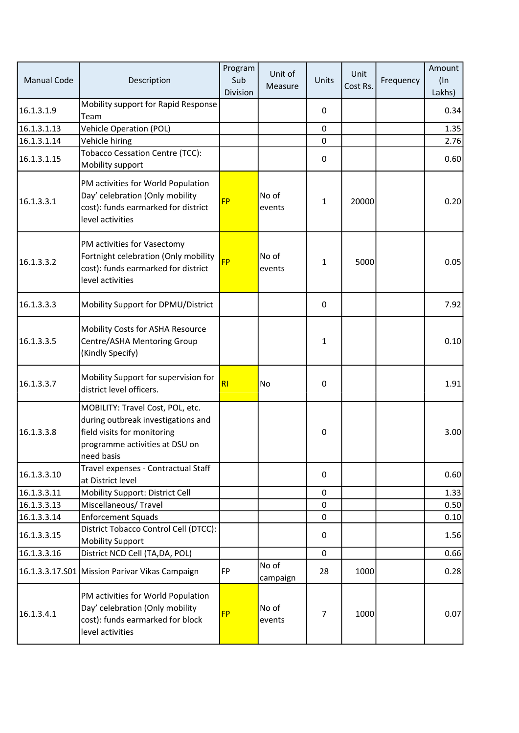| <b>Manual Code</b> | Description                                                                                                                                           | Program<br>Sub<br>Division | Unit of<br>Measure | Units          | Unit<br>Cost Rs. | Frequency | Amount<br>$($ In<br>Lakhs) |
|--------------------|-------------------------------------------------------------------------------------------------------------------------------------------------------|----------------------------|--------------------|----------------|------------------|-----------|----------------------------|
| 16.1.3.1.9         | Mobility support for Rapid Response<br>Team                                                                                                           |                            |                    | 0              |                  |           | 0.34                       |
| 16.1.3.1.13        | <b>Vehicle Operation (POL)</b>                                                                                                                        |                            |                    | $\mathbf 0$    |                  |           | 1.35                       |
| 16.1.3.1.14        | Vehicle hiring                                                                                                                                        |                            |                    | 0              |                  |           | 2.76                       |
| 16.1.3.1.15        | <b>Tobacco Cessation Centre (TCC):</b><br>Mobility support                                                                                            |                            |                    | 0              |                  |           | 0.60                       |
| 16.1.3.3.1         | PM activities for World Population<br>Day' celebration (Only mobility<br>cost): funds earmarked for district<br>level activities                      | <b>FP</b>                  | No of<br>events    | $\mathbf{1}$   | 20000            |           | 0.20                       |
| 16.1.3.3.2         | PM activities for Vasectomy<br>Fortnight celebration (Only mobility<br>cost): funds earmarked for district<br>level activities                        | <b>FP</b>                  | No of<br>events    | 1              | 5000             |           | 0.05                       |
| 16.1.3.3.3         | Mobility Support for DPMU/District                                                                                                                    |                            |                    | 0              |                  |           | 7.92                       |
| 16.1.3.3.5         | Mobility Costs for ASHA Resource<br>Centre/ASHA Mentoring Group<br>(Kindly Specify)                                                                   |                            |                    | 1              |                  |           | 0.10                       |
| 16.1.3.3.7         | Mobility Support for supervision for<br>district level officers.                                                                                      | <b>RI</b>                  | <b>No</b>          | 0              |                  |           | 1.91                       |
| 16.1.3.3.8         | MOBILITY: Travel Cost, POL, etc.<br>during outbreak investigations and<br>field visits for monitoring<br>programme activities at DSU on<br>need basis |                            |                    | 0              |                  |           | 3.00                       |
| 16.1.3.3.10        | Travel expenses - Contractual Staff<br>at District level                                                                                              |                            |                    | 0              |                  |           | 0.60                       |
| 16.1.3.3.11        | Mobility Support: District Cell                                                                                                                       |                            |                    | 0              |                  |           | 1.33                       |
| 16.1.3.3.13        | Miscellaneous/Travel                                                                                                                                  |                            |                    | $\mathbf 0$    |                  |           | 0.50                       |
| 16.1.3.3.14        | <b>Enforcement Squads</b>                                                                                                                             |                            |                    | 0              |                  |           | 0.10                       |
| 16.1.3.3.15        | District Tobacco Control Cell (DTCC):<br><b>Mobility Support</b>                                                                                      |                            |                    | 0              |                  |           | 1.56                       |
| 16.1.3.3.16        | District NCD Cell (TA,DA, POL)                                                                                                                        |                            |                    | 0              |                  |           | 0.66                       |
|                    | 16.1.3.3.17.S01 Mission Parivar Vikas Campaign                                                                                                        | <b>FP</b>                  | No of<br>campaign  | 28             | 1000             |           | 0.28                       |
| 16.1.3.4.1         | PM activities for World Population<br>Day' celebration (Only mobility<br>cost): funds earmarked for block<br>level activities                         | <b>FP</b>                  | No of<br>events    | $\overline{7}$ | 1000             |           | 0.07                       |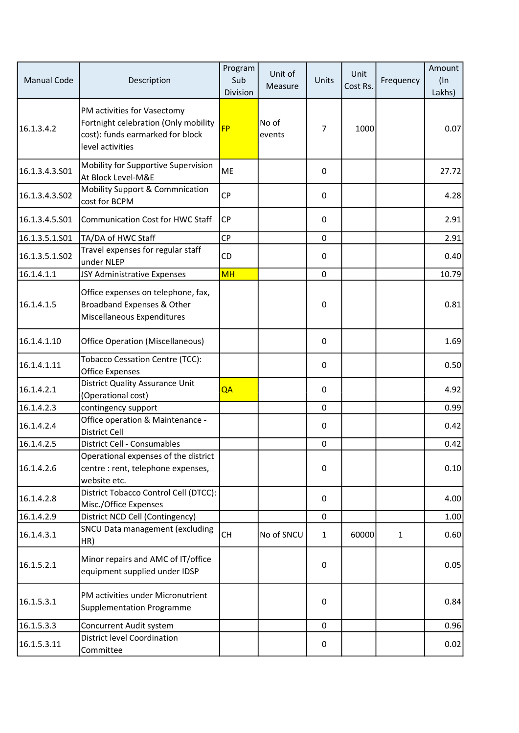| <b>Manual Code</b> | Description                                                                                                                 | Program<br>Sub<br>Division | Unit of<br>Measure | Units          | Unit<br>Cost Rs. | Frequency    | Amount<br>$($ In<br>Lakhs) |
|--------------------|-----------------------------------------------------------------------------------------------------------------------------|----------------------------|--------------------|----------------|------------------|--------------|----------------------------|
| 16.1.3.4.2         | PM activities for Vasectomy<br>Fortnight celebration (Only mobility<br>cost): funds earmarked for block<br>level activities | <b>FP</b>                  | No of<br>events    | $\overline{7}$ | 1000             |              | 0.07                       |
| 16.1.3.4.3.501     | Mobility for Supportive Supervision<br>At Block Level-M&E                                                                   | ME                         |                    | 0              |                  |              | 27.72                      |
| 16.1.3.4.3.502     | <b>Mobility Support &amp; Commnication</b><br>cost for BCPM                                                                 | <b>CP</b>                  |                    | 0              |                  |              | 4.28                       |
| 16.1.3.4.5.S01     | <b>Communication Cost for HWC Staff</b>                                                                                     | <b>CP</b>                  |                    | 0              |                  |              | 2.91                       |
| 16.1.3.5.1.S01     | TA/DA of HWC Staff                                                                                                          | <b>CP</b>                  |                    | $\mathbf 0$    |                  |              | 2.91                       |
| 16.1.3.5.1.502     | Travel expenses for regular staff<br>under NLEP                                                                             | CD                         |                    | 0              |                  |              | 0.40                       |
| 16.1.4.1.1         | JSY Administrative Expenses                                                                                                 | <b>MH</b>                  |                    | $\mathbf 0$    |                  |              | 10.79                      |
| 16.1.4.1.5         | Office expenses on telephone, fax,<br>Broadband Expenses & Other<br>Miscellaneous Expenditures                              |                            |                    | $\pmb{0}$      |                  |              | 0.81                       |
| 16.1.4.1.10        | Office Operation (Miscellaneous)                                                                                            |                            |                    | 0              |                  |              | 1.69                       |
| 16.1.4.1.11        | <b>Tobacco Cessation Centre (TCC):</b><br><b>Office Expenses</b>                                                            |                            |                    | 0              |                  |              | 0.50                       |
| 16.1.4.2.1         | District Quality Assurance Unit<br>(Operational cost)                                                                       | QA                         |                    | 0              |                  |              | 4.92                       |
| 16.1.4.2.3         | contingency support                                                                                                         |                            |                    | $\mathbf 0$    |                  |              | 0.99                       |
| 16.1.4.2.4         | Office operation & Maintenance -<br>District Cell                                                                           |                            |                    | 0              |                  |              | 0.42                       |
| 16.1.4.2.5         | District Cell - Consumables                                                                                                 |                            |                    | $\pmb{0}$      |                  |              | 0.42                       |
| 16.1.4.2.6         | Operational expenses of the district<br>centre : rent, telephone expenses,<br>website etc.                                  |                            |                    | $\pmb{0}$      |                  |              | 0.10                       |
| 16.1.4.2.8         | District Tobacco Control Cell (DTCC):<br>Misc./Office Expenses                                                              |                            |                    | 0              |                  |              | 4.00                       |
| 16.1.4.2.9         | District NCD Cell (Contingency)                                                                                             |                            |                    | 0              |                  |              | 1.00                       |
| 16.1.4.3.1         | SNCU Data management (excluding<br>HR)                                                                                      | <b>CH</b>                  | No of SNCU         | $\mathbf{1}$   | 60000            | $\mathbf{1}$ | 0.60                       |
| 16.1.5.2.1         | Minor repairs and AMC of IT/office<br>equipment supplied under IDSP                                                         |                            |                    | 0              |                  |              | 0.05                       |
| 16.1.5.3.1         | PM activities under Micronutrient<br><b>Supplementation Programme</b>                                                       |                            |                    | 0              |                  |              | 0.84                       |
| 16.1.5.3.3         | Concurrent Audit system                                                                                                     |                            |                    | $\pmb{0}$      |                  |              | 0.96                       |
| 16.1.5.3.11        | <b>District level Coordination</b><br>Committee                                                                             |                            |                    | 0              |                  |              | 0.02                       |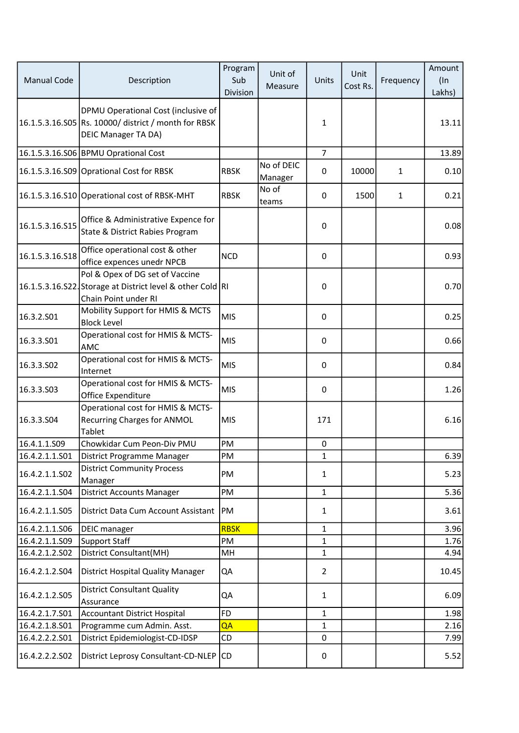| <b>Manual Code</b> | Description                                                                                                               | Program<br>Sub<br>Division | Unit of<br>Measure    | Units          | Unit<br>Cost Rs. | Frequency | Amount<br>$($ ln<br>Lakhs) |
|--------------------|---------------------------------------------------------------------------------------------------------------------------|----------------------------|-----------------------|----------------|------------------|-----------|----------------------------|
|                    | DPMU Operational Cost (inclusive of<br>16.1.5.3.16.S05 Rs. 10000/ district / month for RBSK<br><b>DEIC Manager TA DA)</b> |                            |                       | 1              |                  |           | 13.11                      |
|                    | 16.1.5.3.16.S06 BPMU Oprational Cost                                                                                      |                            |                       | $\overline{7}$ |                  |           | 13.89                      |
|                    | 16.1.5.3.16.S09 Oprational Cost for RBSK                                                                                  | <b>RBSK</b>                | No of DEIC<br>Manager | 0              | 10000            | 1         | 0.10                       |
|                    | 16.1.5.3.16.S10 Operational cost of RBSK-MHT                                                                              | <b>RBSK</b>                | No of<br>teams        | 0              | 1500             | 1         | 0.21                       |
| 16.1.5.3.16.S15    | Office & Administrative Expence for<br>State & District Rabies Program                                                    |                            |                       | $\mathbf 0$    |                  |           | 0.08                       |
| 16.1.5.3.16.518    | Office operational cost & other<br>office expences unedr NPCB                                                             | <b>NCD</b>                 |                       | 0              |                  |           | 0.93                       |
|                    | Pol & Opex of DG set of Vaccine<br>16.1.5.3.16.S22. Storage at District level & other Cold RI<br>Chain Point under RI     |                            |                       | 0              |                  |           | 0.70                       |
| 16.3.2.S01         | Mobility Support for HMIS & MCTS<br><b>Block Level</b>                                                                    | MIS                        |                       | 0              |                  |           | 0.25                       |
| 16.3.3.501         | Operational cost for HMIS & MCTS-<br>AMC                                                                                  | MIS                        |                       | $\mathbf 0$    |                  |           | 0.66                       |
| 16.3.3.S02         | Operational cost for HMIS & MCTS-<br>Internet                                                                             | MIS                        |                       | $\pmb{0}$      |                  |           | 0.84                       |
| 16.3.3.503         | Operational cost for HMIS & MCTS-<br>Office Expenditure                                                                   | MIS                        |                       | 0              |                  |           | 1.26                       |
| 16.3.3.504         | Operational cost for HMIS & MCTS-<br><b>Recurring Charges for ANMOL</b><br>Tablet                                         | MIS                        |                       | 171            |                  |           | 6.16                       |
| 16.4.1.1.S09       | Chowkidar Cum Peon-Div PMU                                                                                                | PM                         |                       | 0              |                  |           |                            |
| 16.4.2.1.1.501     | District Programme Manager                                                                                                | PM                         |                       | 1              |                  |           | 6.39                       |
| 16.4.2.1.1.S02     | <b>District Community Process</b><br>Manager                                                                              | PM                         |                       | 1              |                  |           | 5.23                       |
| 16.4.2.1.1.S04     | <b>District Accounts Manager</b>                                                                                          | PM                         |                       | 1              |                  |           | 5.36                       |
| 16.4.2.1.1.S05     | District Data Cum Account Assistant                                                                                       | <b>PM</b>                  |                       | 1              |                  |           | 3.61                       |
| 16.4.2.1.1.S06     | <b>DEIC</b> manager                                                                                                       | <b>RBSK</b>                |                       | 1              |                  |           | 3.96                       |
| 16.4.2.1.1.509     | Support Staff                                                                                                             | PM                         |                       | 1              |                  |           | 1.76                       |
| 16.4.2.1.2.S02     | District Consultant(MH)                                                                                                   | MH                         |                       | 1              |                  |           | 4.94                       |
| 16.4.2.1.2.S04     | <b>District Hospital Quality Manager</b>                                                                                  | QA                         |                       | $\overline{2}$ |                  |           | 10.45                      |
| 16.4.2.1.2.S05     | <b>District Consultant Quality</b><br>Assurance                                                                           | QA                         |                       | $\mathbf{1}$   |                  |           | 6.09                       |
| 16.4.2.1.7.S01     | <b>Accountant District Hospital</b>                                                                                       | FD                         |                       | 1              |                  |           | 1.98                       |
| 16.4.2.1.8.S01     | Programme cum Admin. Asst.                                                                                                | QA                         |                       | 1              |                  |           | 2.16                       |
| 16.4.2.2.2.S01     | District Epidemiologist-CD-IDSP                                                                                           | CD                         |                       | 0              |                  |           | 7.99                       |
| 16.4.2.2.2.S02     | District Leprosy Consultant-CD-NLEP CD                                                                                    |                            |                       | 0              |                  |           | 5.52                       |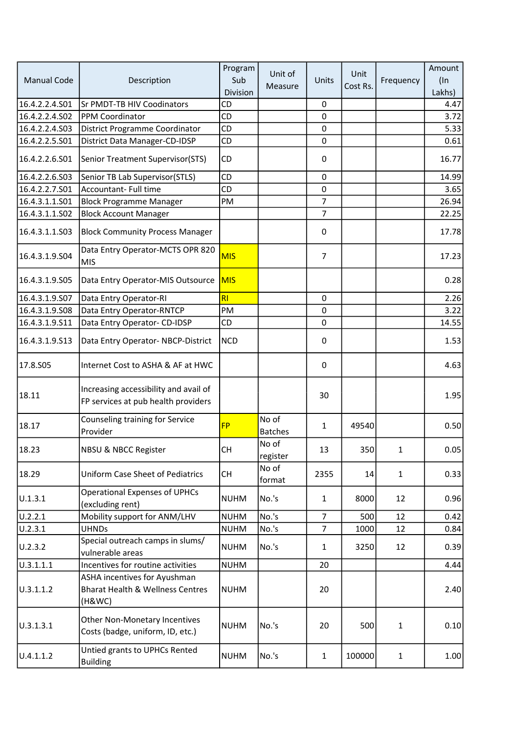|                    | Description                                                                           | Program     |                         |                | Unit     | Frequency    | Amount |
|--------------------|---------------------------------------------------------------------------------------|-------------|-------------------------|----------------|----------|--------------|--------|
| <b>Manual Code</b> |                                                                                       | Sub         | Unit of                 | Units          |          |              | $($ In |
|                    |                                                                                       | Division    | Measure                 |                | Cost Rs. |              | Lakhs) |
| 16.4.2.2.4.S01     | <b>Sr PMDT-TB HIV Coodinators</b>                                                     | CD          |                         | 0              |          |              | 4.47   |
| 16.4.2.2.4.S02     | PPM Coordinator                                                                       | CD          |                         | $\pmb{0}$      |          |              | 3.72   |
| 16.4.2.2.4.503     | District Programme Coordinator                                                        | CD          |                         | $\mathbf 0$    |          |              | 5.33   |
| 16.4.2.2.5.S01     | District Data Manager-CD-IDSP                                                         | CD          |                         | $\mathbf 0$    |          |              | 0.61   |
| 16.4.2.2.6.S01     | Senior Treatment Supervisor(STS)                                                      | CD          |                         | $\mathbf 0$    |          |              | 16.77  |
| 16.4.2.2.6.503     | Senior TB Lab Supervisor(STLS)                                                        | CD          |                         | 0              |          |              | 14.99  |
| 16.4.2.2.7.S01     | Accountant- Full time                                                                 | <b>CD</b>   |                         | $\pmb{0}$      |          |              | 3.65   |
| 16.4.3.1.1.S01     | <b>Block Programme Manager</b>                                                        | PM          |                         | 7              |          |              | 26.94  |
| 16.4.3.1.1.S02     | <b>Block Account Manager</b>                                                          |             |                         | 7              |          |              | 22.25  |
| 16.4.3.1.1.503     | <b>Block Community Process Manager</b>                                                |             |                         | $\pmb{0}$      |          |              | 17.78  |
| 16.4.3.1.9.S04     | Data Entry Operator-MCTS OPR 820<br><b>MIS</b>                                        | <b>MIS</b>  |                         | $\overline{7}$ |          |              | 17.23  |
| 16.4.3.1.9.S05     | Data Entry Operator-MIS Outsource                                                     | <b>MIS</b>  |                         |                |          |              | 0.28   |
| 16.4.3.1.9.S07     | Data Entry Operator-RI                                                                | RI          |                         | 0              |          |              | 2.26   |
| 16.4.3.1.9.S08     | Data Entry Operator-RNTCP                                                             | PM          |                         | 0              |          |              | 3.22   |
| 16.4.3.1.9.511     | Data Entry Operator- CD-IDSP                                                          | CD          |                         | 0              |          |              | 14.55  |
| 16.4.3.1.9.S13     | Data Entry Operator-NBCP-District                                                     | <b>NCD</b>  |                         | $\pmb{0}$      |          |              | 1.53   |
| 17.8.S05           | Internet Cost to ASHA & AF at HWC                                                     |             |                         | $\pmb{0}$      |          |              | 4.63   |
| 18.11              | Increasing accessibility and avail of<br>FP services at pub health providers          |             |                         | 30             |          |              | 1.95   |
| 18.17              | Counseling training for Service<br>Provider                                           | <b>FP</b>   | No of<br><b>Batches</b> | 1              | 49540    |              | 0.50   |
| 18.23              | NBSU & NBCC Register                                                                  | <b>CH</b>   | No of<br>register       | 13             | 350      | 1            | 0.05   |
| 18.29              | <b>Uniform Case Sheet of Pediatrics</b>                                               | <b>CH</b>   | No of<br>format         | 2355           | 14       | $\mathbf{1}$ | 0.33   |
| U.1.3.1            | <b>Operational Expenses of UPHCs</b><br>(excluding rent)                              | NUHM        | No.'s                   | $\mathbf{1}$   | 8000     | 12           | 0.96   |
| U.2.2.1            | Mobility support for ANM/LHV                                                          | <b>NUHM</b> | No.'s                   | $\overline{7}$ | 500      | 12           | 0.42   |
| U.2.3.1            | <b>UHNDs</b>                                                                          | <b>NUHM</b> | No.'s                   | $\overline{7}$ | 1000     | 12           | 0.84   |
| U.2.3.2            | Special outreach camps in slums/<br>vulnerable areas                                  | <b>NUHM</b> | No.'s                   | $\mathbf{1}$   | 3250     | 12           | 0.39   |
| U.3.1.1.1          | Incentives for routine activities                                                     | <b>NUHM</b> |                         | 20             |          |              | 4.44   |
| U.3.1.1.2          | ASHA incentives for Ayushman<br><b>Bharat Health &amp; Wellness Centres</b><br>(H&WC) | NUHM        |                         | 20             |          |              | 2.40   |
| U.3.1.3.1          | Other Non-Monetary Incentives<br>Costs (badge, uniform, ID, etc.)                     | <b>NUHM</b> | No.'s                   | 20             | 500      | $\mathbf{1}$ | 0.10   |
| U.4.1.1.2          | Untied grants to UPHCs Rented<br><b>Building</b>                                      | <b>NUHM</b> | No.'s                   | $\mathbf{1}$   | 100000   | $\mathbf{1}$ | 1.00   |